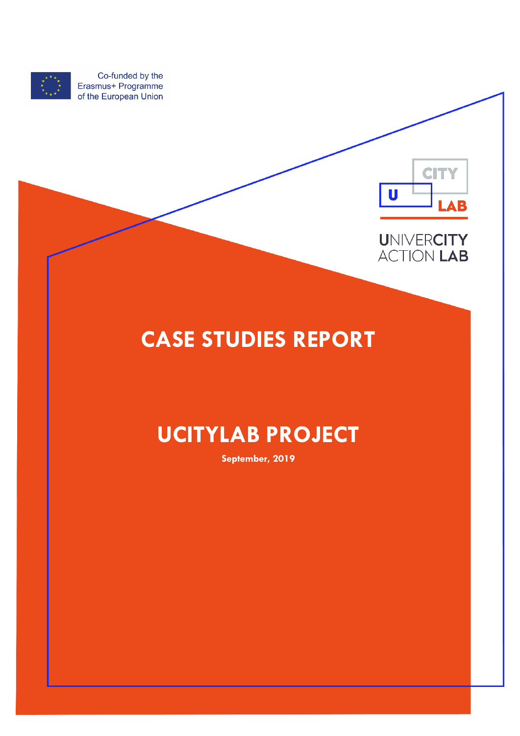

Co-funded by the Erasmus+ Programme of the European Union





## **CASE STUDIES REPORT**

## **UCITYLAB PROJECT**

**September, 2019**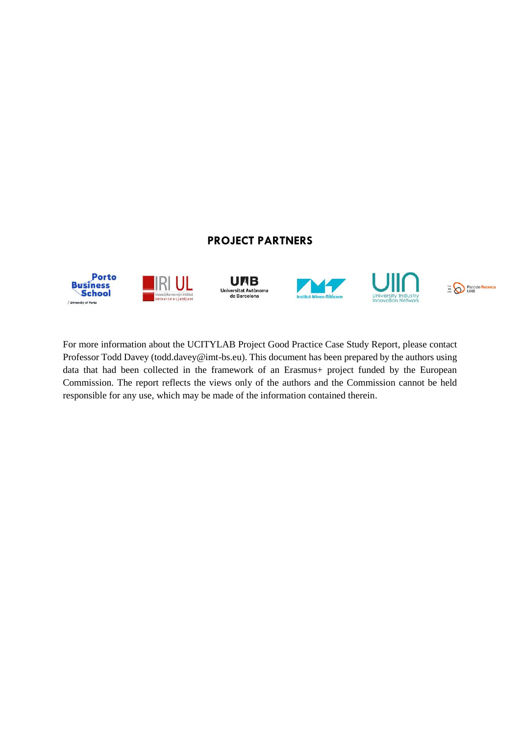#### **PROJECT PARTNERS**



For more information about the UCITYLAB Project Good Practice Case Study Report, please contact Professor Todd Davey (todd.davey@imt-bs.eu). This document has been prepared by the authors using data that had been collected in the framework of an Erasmus+ project funded by the European Commission. The report reflects the views only of the authors and the Commission cannot be held responsible for any use, which may be made of the information contained therein.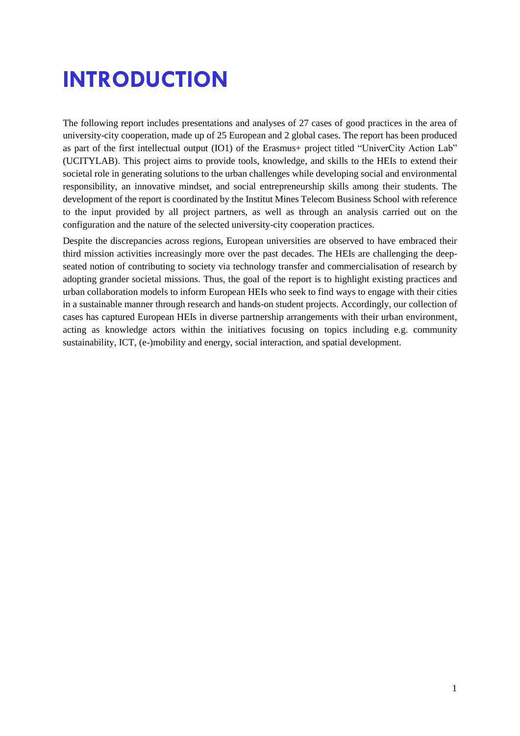# <span id="page-2-0"></span>**INTRODUCTION**

The following report includes presentations and analyses of 27 cases of good practices in the area of university-city cooperation, made up of 25 European and 2 global cases. The report has been produced as part of the first intellectual output (IO1) of the Erasmus+ project titled "UniverCity Action Lab" (UCITYLAB). This project aims to provide tools, knowledge, and skills to the HEIs to extend their societal role in generating solutions to the urban challenges while developing social and environmental responsibility, an innovative mindset, and social entrepreneurship skills among their students. The development of the report is coordinated by the Institut Mines Telecom Business School with reference to the input provided by all project partners, as well as through an analysis carried out on the configuration and the nature of the selected university-city cooperation practices.

Despite the discrepancies across regions, European universities are observed to have embraced their third mission activities increasingly more over the past decades. The HEIs are challenging the deepseated notion of contributing to society via technology transfer and commercialisation of research by adopting grander societal missions. Thus, the goal of the report is to highlight existing practices and urban collaboration models to inform European HEIs who seek to find ways to engage with their cities in a sustainable manner through research and hands-on student projects. Accordingly, our collection of cases has captured European HEIs in diverse partnership arrangements with their urban environment, acting as knowledge actors within the initiatives focusing on topics including e.g. community sustainability, ICT, (e-)mobility and energy, social interaction, and spatial development.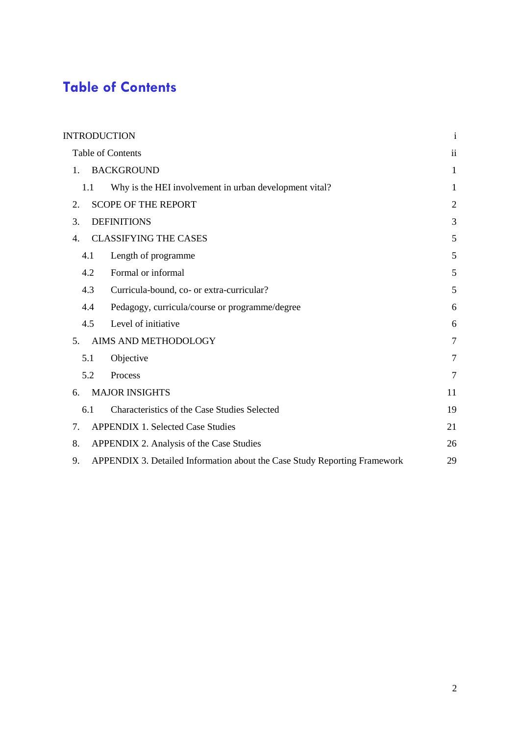### <span id="page-3-0"></span>**Table of Contents**

| <b>INTRODUCTION</b>                                                             | $\mathbf{i}$   |
|---------------------------------------------------------------------------------|----------------|
| Table of Contents                                                               | $\mathbf{ii}$  |
| <b>BACKGROUND</b><br>1.                                                         | 1              |
| Why is the HEI involvement in urban development vital?<br>1.1                   | 1              |
| <b>SCOPE OF THE REPORT</b><br>2.                                                | $\overline{2}$ |
| <b>DEFINITIONS</b><br>3.                                                        | 3              |
| <b>CLASSIFYING THE CASES</b><br>4.                                              | 5              |
| Length of programme<br>4.1                                                      | 5              |
| Formal or informal<br>4.2                                                       | 5              |
| 4.3<br>Curricula-bound, co- or extra-curricular?                                | 5              |
| Pedagogy, curricula/course or programme/degree<br>4.4                           | 6              |
| Level of initiative<br>4.5                                                      | 6              |
| AIMS AND METHODOLOGY<br>5.                                                      | $\overline{7}$ |
| 5.1<br>Objective                                                                | $\overline{7}$ |
| 5.2<br>Process                                                                  | 7              |
| <b>MAJOR INSIGHTS</b><br>6.                                                     | 11             |
| 6.1<br>Characteristics of the Case Studies Selected                             | 19             |
| <b>APPENDIX 1. Selected Case Studies</b><br>7.                                  | 21             |
| 8.<br>APPENDIX 2. Analysis of the Case Studies                                  | 26             |
| APPENDIX 3. Detailed Information about the Case Study Reporting Framework<br>9. | 29             |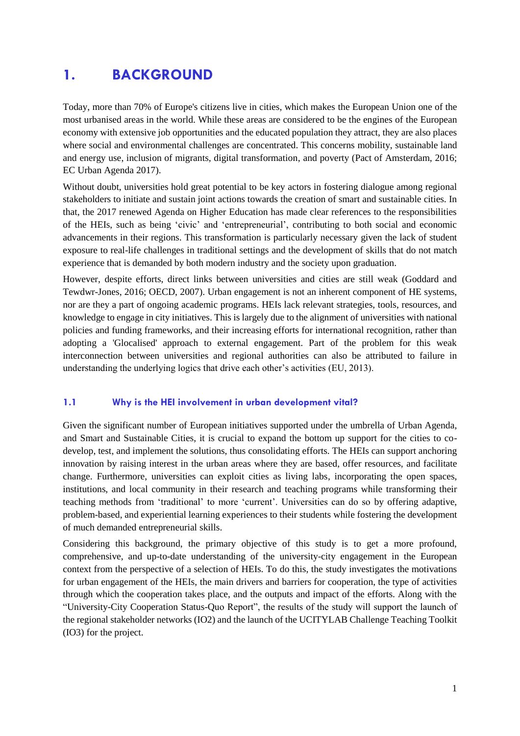### <span id="page-4-0"></span>**1. BACKGROUND**

Today, more than 70% of Europe's citizens live in cities, which makes the European Union one of the most urbanised areas in the world. While these areas are considered to be the engines of the European economy with extensive job opportunities and the educated population they attract, they are also places where social and environmental challenges are concentrated. This concerns mobility, sustainable land and energy use, inclusion of migrants, digital transformation, and poverty (Pact of Amsterdam, 2016; EC Urban Agenda 2017).

Without doubt, universities hold great potential to be key actors in fostering dialogue among regional stakeholders to initiate and sustain joint actions towards the creation of smart and sustainable cities. In that, the 2017 renewed Agenda on Higher Education has made clear references to the responsibilities of the HEIs, such as being 'civic' and 'entrepreneurial', contributing to both social and economic advancements in their regions. This transformation is particularly necessary given the lack of student exposure to real-life challenges in traditional settings and the development of skills that do not match experience that is demanded by both modern industry and the society upon graduation.

However, despite efforts, direct links between universities and cities are still weak (Goddard and Tewdwr-Jones, 2016; OECD, 2007). Urban engagement is not an inherent component of HE systems, nor are they a part of ongoing academic programs. HEIs lack relevant strategies, tools, resources, and knowledge to engage in city initiatives. This is largely due to the alignment of universities with national policies and funding frameworks, and their increasing efforts for international recognition, rather than adopting a 'Glocalised' approach to external engagement. Part of the problem for this weak interconnection between universities and regional authorities can also be attributed to failure in understanding the underlying logics that drive each other's activities (EU, 2013).

#### <span id="page-4-1"></span>**1.1 Why is the HEI involvement in urban development vital?**

Given the significant number of European initiatives supported under the umbrella of Urban Agenda, and Smart and Sustainable Cities, it is crucial to expand the bottom up support for the cities to codevelop, test, and implement the solutions, thus consolidating efforts. The HEIs can support anchoring innovation by raising interest in the urban areas where they are based, offer resources, and facilitate change. Furthermore, universities can exploit cities as living labs, incorporating the open spaces, institutions, and local community in their research and teaching programs while transforming their teaching methods from 'traditional' to more 'current'. Universities can do so by offering adaptive, problem-based, and experiential learning experiences to their students while fostering the development of much demanded entrepreneurial skills.

Considering this background, the primary objective of this study is to get a more profound, comprehensive, and up-to-date understanding of the university-city engagement in the European context from the perspective of a selection of HEIs. To do this, the study investigates the motivations for urban engagement of the HEIs, the main drivers and barriers for cooperation, the type of activities through which the cooperation takes place, and the outputs and impact of the efforts. Along with the "University-City Cooperation Status-Quo Report", the results of the study will support the launch of the regional stakeholder networks (IO2) and the launch of the UCITYLAB Challenge Teaching Toolkit (IO3) for the project.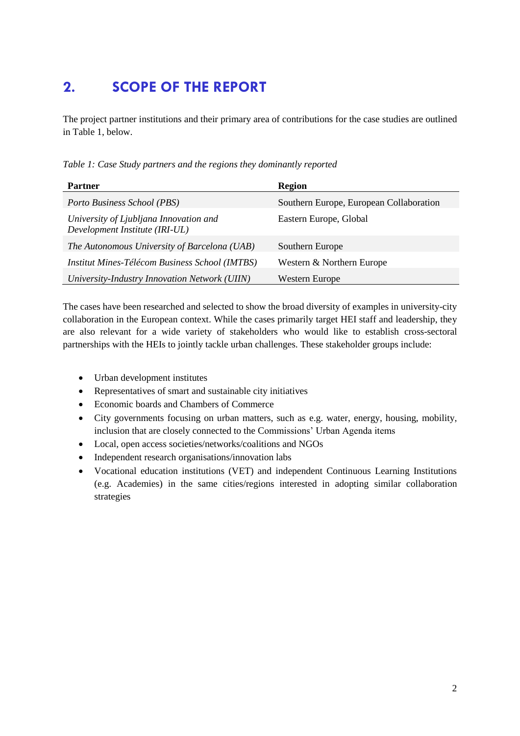### <span id="page-5-0"></span>**2. SCOPE OF THE REPORT**

The project partner institutions and their primary area of contributions for the case studies are outlined in Table 1, below.

*Table 1: Case Study partners and the regions they dominantly reported*

| <b>Partner</b>                                                           | <b>Region</b>                           |
|--------------------------------------------------------------------------|-----------------------------------------|
| Porto Business School (PBS)                                              | Southern Europe, European Collaboration |
| University of Ljubljana Innovation and<br>Development Institute (IRI-UL) | Eastern Europe, Global                  |
| The Autonomous University of Barcelona (UAB)                             | Southern Europe                         |
| <i>Institut Mines-Télécom Business School (IMTBS)</i>                    | Western & Northern Europe               |
| University-Industry Innovation Network (UIIN)                            | <b>Western Europe</b>                   |

The cases have been researched and selected to show the broad diversity of examples in university-city collaboration in the European context. While the cases primarily target HEI staff and leadership, they are also relevant for a wide variety of stakeholders who would like to establish cross-sectoral partnerships with the HEIs to jointly tackle urban challenges. These stakeholder groups include:

- Urban development institutes
- Representatives of smart and sustainable city initiatives
- Economic boards and Chambers of Commerce
- City governments focusing on urban matters, such as e.g. water, energy, housing, mobility, inclusion that are closely connected to the Commissions' Urban Agenda items
- Local, open access societies/networks/coalitions and NGOs
- Independent research organisations/innovation labs
- Vocational education institutions (VET) and independent Continuous Learning Institutions (e.g. Academies) in the same cities/regions interested in adopting similar collaboration strategies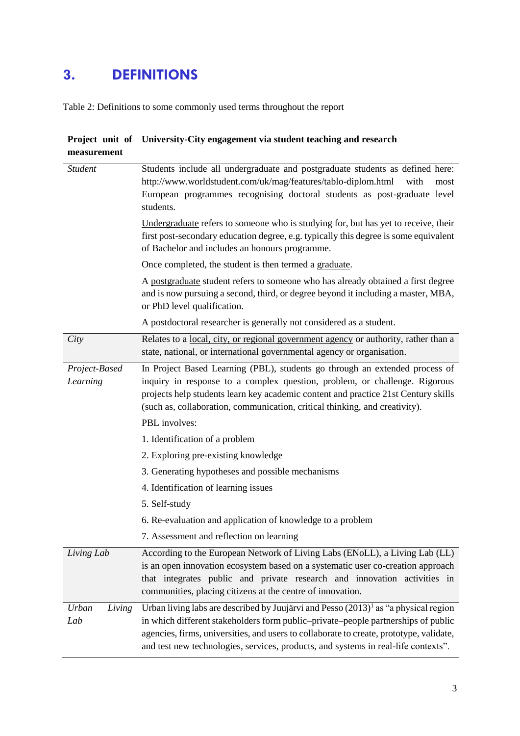### <span id="page-6-0"></span>**3. DEFINITIONS**

Table 2: Definitions to some commonly used terms throughout the report

| measurement               | Project unit of University-City engagement via student teaching and research                                                                                                                                                                                                                                                   |
|---------------------------|--------------------------------------------------------------------------------------------------------------------------------------------------------------------------------------------------------------------------------------------------------------------------------------------------------------------------------|
| <b>Student</b>            | Students include all undergraduate and postgraduate students as defined here:<br>http://www.worldstudent.com/uk/mag/features/tablo-diplom.html<br>with<br>most<br>European programmes recognising doctoral students as post-graduate level<br>students.                                                                        |
|                           | Undergraduate refers to someone who is studying for, but has yet to receive, their<br>first post-secondary education degree, e.g. typically this degree is some equivalent<br>of Bachelor and includes an honours programme.                                                                                                   |
|                           | Once completed, the student is then termed a graduate.                                                                                                                                                                                                                                                                         |
|                           | A postgraduate student refers to someone who has already obtained a first degree<br>and is now pursuing a second, third, or degree beyond it including a master, MBA,<br>or PhD level qualification.                                                                                                                           |
|                           | A postdoctoral researcher is generally not considered as a student.                                                                                                                                                                                                                                                            |
| City                      | Relates to a <u>local, city</u> , or regional government agency or authority, rather than a<br>state, national, or international governmental agency or organisation.                                                                                                                                                          |
| Project-Based<br>Learning | In Project Based Learning (PBL), students go through an extended process of<br>inquiry in response to a complex question, problem, or challenge. Rigorous<br>projects help students learn key academic content and practice 21st Century skills<br>(such as, collaboration, communication, critical thinking, and creativity). |
|                           | PBL involves:                                                                                                                                                                                                                                                                                                                  |
|                           | 1. Identification of a problem                                                                                                                                                                                                                                                                                                 |
|                           | 2. Exploring pre-existing knowledge                                                                                                                                                                                                                                                                                            |
|                           | 3. Generating hypotheses and possible mechanisms                                                                                                                                                                                                                                                                               |
|                           | 4. Identification of learning issues                                                                                                                                                                                                                                                                                           |
|                           | 5. Self-study                                                                                                                                                                                                                                                                                                                  |
|                           | 6. Re-evaluation and application of knowledge to a problem                                                                                                                                                                                                                                                                     |
|                           | 7. Assessment and reflection on learning                                                                                                                                                                                                                                                                                       |
| Living Lab                | According to the European Network of Living Labs (ENoLL), a Living Lab (LL)<br>is an open innovation ecosystem based on a systematic user co-creation approach<br>that integrates public and private research and innovation activities in<br>communities, placing citizens at the centre of innovation.                       |
| Urban<br>Living           | Urban living labs are described by Juujärvi and Pesso $(2013)^{1}$ as "a physical region                                                                                                                                                                                                                                       |
| Lab                       | in which different stakeholders form public-private-people partnerships of public<br>agencies, firms, universities, and users to collaborate to create, prototype, validate,<br>and test new technologies, services, products, and systems in real-life contexts".                                                             |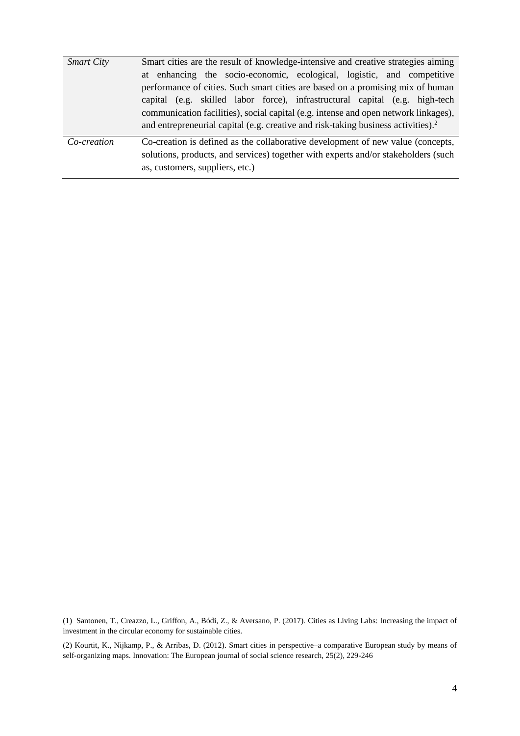| <b>Smart City</b> | Smart cities are the result of knowledge-intensive and creative strategies aiming             |
|-------------------|-----------------------------------------------------------------------------------------------|
|                   | at enhancing the socio-economic, ecological, logistic, and competitive                        |
|                   | performance of cities. Such smart cities are based on a promising mix of human                |
|                   | capital (e.g. skilled labor force), infrastructural capital (e.g. high-tech                   |
|                   | communication facilities), social capital (e.g. intense and open network linkages),           |
|                   | and entrepreneurial capital (e.g. creative and risk-taking business activities). <sup>2</sup> |
| Co-creation       | Co-creation is defined as the collaborative development of new value (concepts,               |
|                   | solutions, products, and services) together with experts and/or stakeholders (such            |
|                   | as, customers, suppliers, etc.)                                                               |

(1) Santonen, T., Creazzo, L., Griffon, A., Bódi, Z., & Aversano, P. (2017). Cities as Living Labs: Increasing the impact of investment in the circular economy for sustainable cities.

(2) Kourtit, K., Nijkamp, P., & Arribas, D. (2012). Smart cities in perspective–a comparative European study by means of self-organizing maps. Innovation: The European journal of social science research, 25(2), 229-246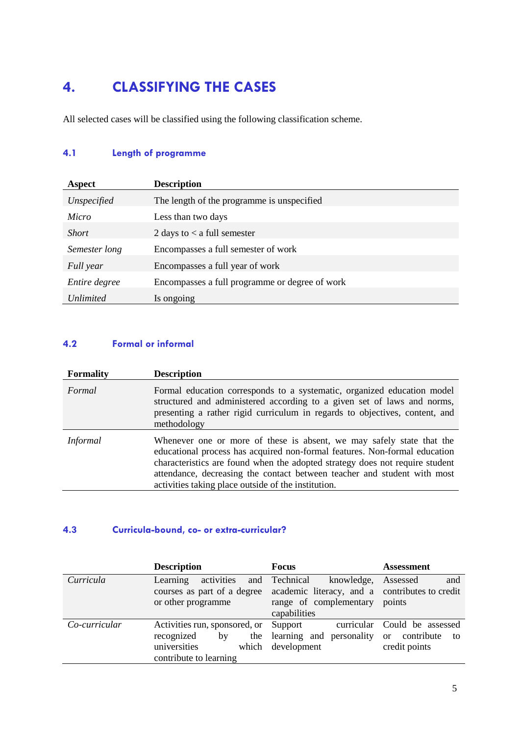## <span id="page-8-0"></span>**4. CLASSIFYING THE CASES**

All selected cases will be classified using the following classification scheme.

### <span id="page-8-1"></span>**4.1 Length of programme**

| Aspect        | <b>Description</b>                             |
|---------------|------------------------------------------------|
| Unspecified   | The length of the programme is unspecified     |
| Micro         | Less than two days                             |
| <i>Short</i>  | 2 days to $\lt$ a full semester                |
| Semester long | Encompasses a full semester of work            |
| Full year     | Encompasses a full year of work                |
| Entire degree | Encompasses a full programme or degree of work |
| Unlimited     | Is ongoing                                     |

#### <span id="page-8-2"></span>**4.2 Formal or informal**

| <b>Formality</b> | <b>Description</b>                                                                                                                                                                                                                                                                                                                                                     |
|------------------|------------------------------------------------------------------------------------------------------------------------------------------------------------------------------------------------------------------------------------------------------------------------------------------------------------------------------------------------------------------------|
| Formal           | Formal education corresponds to a systematic, organized education model<br>structured and administered according to a given set of laws and norms,<br>presenting a rather rigid curriculum in regards to objectives, content, and<br>methodology                                                                                                                       |
| <i>Informal</i>  | Whenever one or more of these is absent, we may safely state that the<br>educational process has acquired non-formal features. Non-formal education<br>characteristics are found when the adopted strategy does not require student<br>attendance, decreasing the contact between teacher and student with most<br>activities taking place outside of the institution. |

#### <span id="page-8-3"></span>**4.3 Curricula-bound, co- or extra-curricular?**

|               | <b>Description</b>                                                                                                         | <b>Focus</b>                                                               | Assessment                                                              |
|---------------|----------------------------------------------------------------------------------------------------------------------------|----------------------------------------------------------------------------|-------------------------------------------------------------------------|
| Curricula     | activities<br>Learning<br>courses as part of a degree academic literacy, and a contributes to credit<br>or other programme | and Technical<br>knowledge,<br>range of complementary<br>capabilities      | and<br>Assessed<br>points                                               |
| Co-curricular | Activities run, sponsored, or<br>recognized<br>by<br>universities<br>contribute to learning                                | curricular<br>Support<br>the learning and personality<br>which development | Could be assessed<br>contribute<br><sub>or</sub><br>to<br>credit points |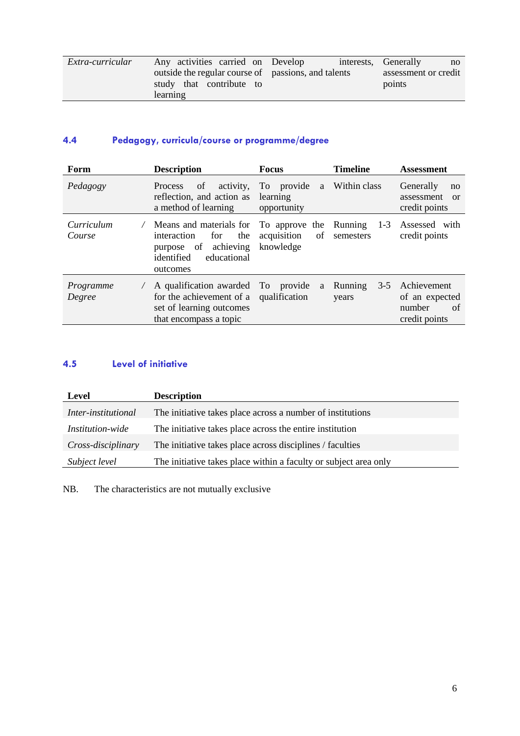| Extra-curricular | Any activities carried on Develop                   | interests, Generally<br>$\mathbf{n}$ |
|------------------|-----------------------------------------------------|--------------------------------------|
|                  | outside the regular course of passions, and talents | assessment or credit                 |
|                  | study that contribute to                            | points                               |
|                  | learning                                            |                                      |

#### <span id="page-9-0"></span>**4.4 Pedagogy, curricula/course or programme/degree**

| Form                 | <b>Description</b>                                                                                                                              | <b>Focus</b>                               | <b>Timeline</b>             | <b>Assessment</b>                                              |
|----------------------|-------------------------------------------------------------------------------------------------------------------------------------------------|--------------------------------------------|-----------------------------|----------------------------------------------------------------|
| Pedagogy             | activity,<br>of<br><b>Process</b><br>reflection, and action as<br>a method of learning                                                          | To provide<br>a<br>learning<br>opportunity | Within class                | Generally<br>no<br>assessment<br>or<br>credit points           |
| Curriculum<br>Course | Means and materials for To approve the Running<br>interaction<br>the<br>for<br>of achieving<br>purpose<br>identified<br>educational<br>outcomes | acquisition<br>of<br>knowledge             | $1-3$<br>semesters          | Assessed with<br>credit points                                 |
| Programme<br>Degree  | A qualification awarded To provide<br>for the achievement of a<br>set of learning outcomes<br>that encompass a topic                            | qualification                              | a Running<br>$3-5$<br>years | Achievement<br>of an expected<br>number<br>of<br>credit points |

#### <span id="page-9-1"></span>**4.5 Level of initiative**

| Level                      | <b>Description</b>                                               |
|----------------------------|------------------------------------------------------------------|
| <i>Inter-institutional</i> | The initiative takes place across a number of institutions       |
| <i>Institution-wide</i>    | The initiative takes place across the entire institution         |
| Cross-disciplinary         | The initiative takes place across disciplines / faculties        |
| Subject level              | The initiative takes place within a faculty or subject area only |

NB. The characteristics are not mutually exclusive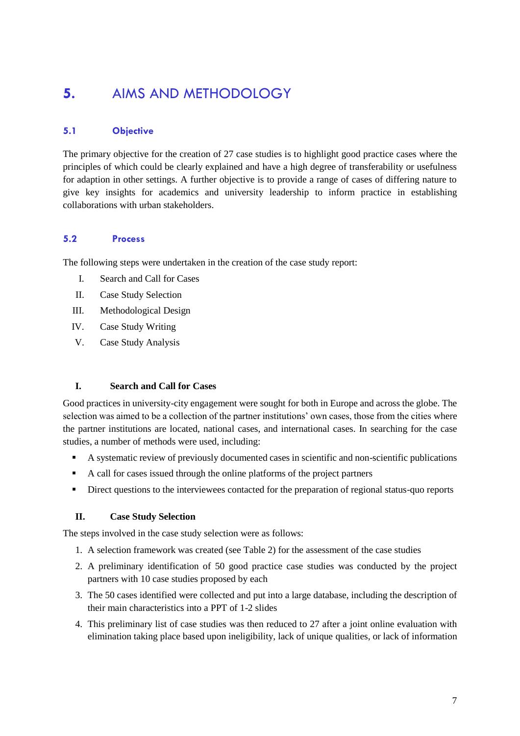### <span id="page-10-0"></span>**5.** AIMS AND METHODOLOGY

#### <span id="page-10-1"></span>**5.1 Objective**

The primary objective for the creation of 27 case studies is to highlight good practice cases where the principles of which could be clearly explained and have a high degree of transferability or usefulness for adaption in other settings. A further objective is to provide a range of cases of differing nature to give key insights for academics and university leadership to inform practice in establishing collaborations with urban stakeholders.

#### <span id="page-10-2"></span>**5.2 Process**

The following steps were undertaken in the creation of the case study report:

- I. Search and Call for Cases
- II. Case Study Selection
- III. Methodological Design
- IV. Case Study Writing
- V. Case Study Analysis

#### **I. Search and Call for Cases**

Good practices in university-city engagement were sought for both in Europe and across the globe. The selection was aimed to be a collection of the partner institutions' own cases, those from the cities where the partner institutions are located, national cases, and international cases. In searching for the case studies, a number of methods were used, including:

- A systematic review of previously documented cases in scientific and non-scientific publications
- A call for cases issued through the online platforms of the project partners
- Direct questions to the interviewees contacted for the preparation of regional status-quo reports

#### **II. Case Study Selection**

The steps involved in the case study selection were as follows:

- 1. A selection framework was created (see Table 2) for the assessment of the case studies
- 2. A preliminary identification of 50 good practice case studies was conducted by the project partners with 10 case studies proposed by each
- 3. The 50 cases identified were collected and put into a large database, including the description of their main characteristics into a PPT of 1-2 slides
- 4. This preliminary list of case studies was then reduced to 27 after a joint online evaluation with elimination taking place based upon ineligibility, lack of unique qualities, or lack of information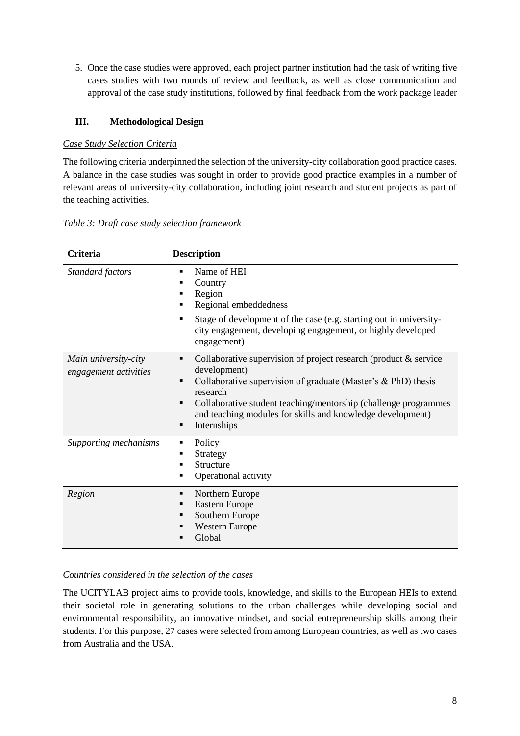5. Once the case studies were approved, each project partner institution had the task of writing five cases studies with two rounds of review and feedback, as well as close communication and approval of the case study institutions, followed by final feedback from the work package leader

#### **III. Methodological Design**

#### *Case Study Selection Criteria*

The following criteria underpinned the selection of the university-city collaboration good practice cases. A balance in the case studies was sought in order to provide good practice examples in a number of relevant areas of university-city collaboration, including joint research and student projects as part of the teaching activities.

#### *Table 3: Draft case study selection framework*

| Criteria                                      | <b>Description</b>                                                                                                                                                                                                                                                                                                                                             |
|-----------------------------------------------|----------------------------------------------------------------------------------------------------------------------------------------------------------------------------------------------------------------------------------------------------------------------------------------------------------------------------------------------------------------|
| Standard factors                              | Name of HEI<br>$\blacksquare$<br>Country<br>$\blacksquare$<br>Region<br>٠<br>Regional embeddedness<br>$\blacksquare$                                                                                                                                                                                                                                           |
|                                               | Stage of development of the case (e.g. starting out in university-<br>٠<br>city engagement, developing engagement, or highly developed<br>engagement)                                                                                                                                                                                                          |
| Main university-city<br>engagement activities | Collaborative supervision of project research (product $\&$ service<br>٠<br>development)<br>Collaborative supervision of graduate (Master's & PhD) thesis<br>٠<br>research<br>Collaborative student teaching/mentorship (challenge programmes<br>$\blacksquare$<br>and teaching modules for skills and knowledge development)<br>Internships<br>$\blacksquare$ |
| Supporting mechanisms                         | Policy<br>٠<br>Strategy<br>п<br>Structure<br>$\blacksquare$<br>Operational activity<br>٠                                                                                                                                                                                                                                                                       |
| Region                                        | Northern Europe<br>٠<br>Eastern Europe<br>٠<br>Southern Europe<br>٠<br><b>Western Europe</b><br>$\blacksquare$<br>Global<br>п                                                                                                                                                                                                                                  |

#### *Countries considered in the selection of the cases*

The UCITYLAB project aims to provide tools, knowledge, and skills to the European HEIs to extend their societal role in generating solutions to the urban challenges while developing social and environmental responsibility, an innovative mindset, and social entrepreneurship skills among their students. For this purpose, 27 cases were selected from among European countries, as well as two cases from Australia and the USA.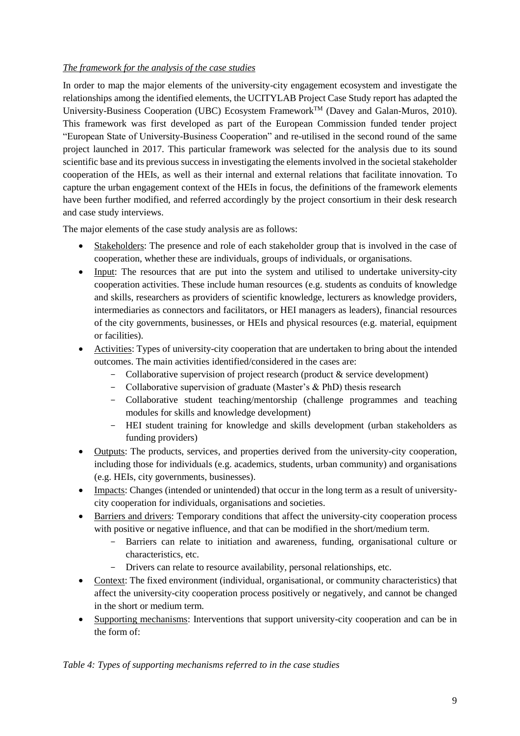#### *The framework for the analysis of the case studies*

In order to map the major elements of the university-city engagement ecosystem and investigate the relationships among the identified elements, the UCITYLAB Project Case Study report has adapted the University-Business Cooperation (UBC) Ecosystem Framework<sup>TM</sup> (Davey and Galan-Muros, 2010). This framework was first developed as part of the European Commission funded tender project "European State of University-Business Cooperation" and re-utilised in the second round of the same project launched in 2017. This particular framework was selected for the analysis due to its sound scientific base and its previous success in investigating the elements involved in the societal stakeholder cooperation of the HEIs, as well as their internal and external relations that facilitate innovation. To capture the urban engagement context of the HEIs in focus, the definitions of the framework elements have been further modified, and referred accordingly by the project consortium in their desk research and case study interviews.

The major elements of the case study analysis are as follows:

- Stakeholders: The presence and role of each stakeholder group that is involved in the case of cooperation, whether these are individuals, groups of individuals, or organisations.
- Input: The resources that are put into the system and utilised to undertake university-city cooperation activities. These include human resources (e.g. students as conduits of knowledge and skills, researchers as providers of scientific knowledge, lecturers as knowledge providers, intermediaries as connectors and facilitators, or HEI managers as leaders), financial resources of the city governments, businesses, or HEIs and physical resources (e.g. material, equipment or facilities).
- Activities: Types of university-city cooperation that are undertaken to bring about the intended outcomes. The main activities identified/considered in the cases are:
	- Collaborative supervision of project research (product & service development)
	- Collaborative supervision of graduate (Master's & PhD) thesis research
	- Collaborative student teaching/mentorship (challenge programmes and teaching modules for skills and knowledge development)
	- HEI student training for knowledge and skills development (urban stakeholders as funding providers)
- Outputs: The products, services, and properties derived from the university-city cooperation, including those for individuals (e.g. academics, students, urban community) and organisations (e.g. HEIs, city governments, businesses).
- Impacts: Changes (intended or unintended) that occur in the long term as a result of universitycity cooperation for individuals, organisations and societies.
- Barriers and drivers: Temporary conditions that affect the university-city cooperation process with positive or negative influence, and that can be modified in the short/medium term.
	- Barriers can relate to initiation and awareness, funding, organisational culture or characteristics, etc.
	- Drivers can relate to resource availability, personal relationships, etc.
- Context: The fixed environment (individual, organisational, or community characteristics) that affect the university-city cooperation process positively or negatively, and cannot be changed in the short or medium term.
- Supporting mechanisms: Interventions that support university-city cooperation and can be in the form of:

*Table 4: Types of supporting mechanisms referred to in the case studies*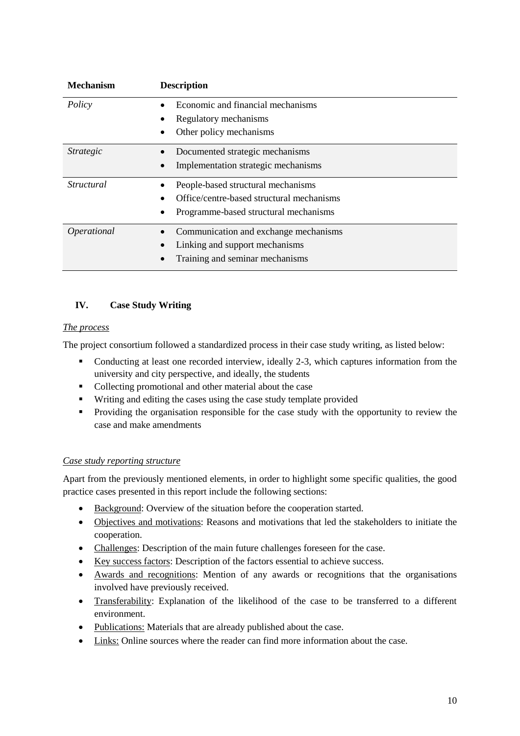| <b>Mechanism</b> | <b>Description</b>                                                                                                       |
|------------------|--------------------------------------------------------------------------------------------------------------------------|
| Policy           | Economic and financial mechanisms<br>Regulatory mechanisms<br>Other policy mechanisms                                    |
| <i>Strategic</i> | Documented strategic mechanisms<br>Implementation strategic mechanisms                                                   |
| Structural       | People-based structural mechanisms<br>Office/centre-based structural mechanisms<br>Programme-based structural mechanisms |
| Operational      | Communication and exchange mechanisms<br>Linking and support mechanisms<br>Training and seminar mechanisms               |

#### **IV. Case Study Writing**

#### *The process*

The project consortium followed a standardized process in their case study writing, as listed below:

- Conducting at least one recorded interview, ideally 2-3, which captures information from the university and city perspective, and ideally, the students
- Collecting promotional and other material about the case
- Writing and editing the cases using the case study template provided
- **Providing the organisation responsible for the case study with the opportunity to review the** case and make amendments

#### *Case study reporting structure*

Apart from the previously mentioned elements, in order to highlight some specific qualities, the good practice cases presented in this report include the following sections:

- Background: Overview of the situation before the cooperation started.
- Objectives and motivations: Reasons and motivations that led the stakeholders to initiate the cooperation.
- Challenges: Description of the main future challenges foreseen for the case.
- Key success factors: Description of the factors essential to achieve success.
- Awards and recognitions: Mention of any awards or recognitions that the organisations involved have previously received.
- Transferability: Explanation of the likelihood of the case to be transferred to a different environment.
- Publications: Materials that are already published about the case.
- Links: Online sources where the reader can find more information about the case.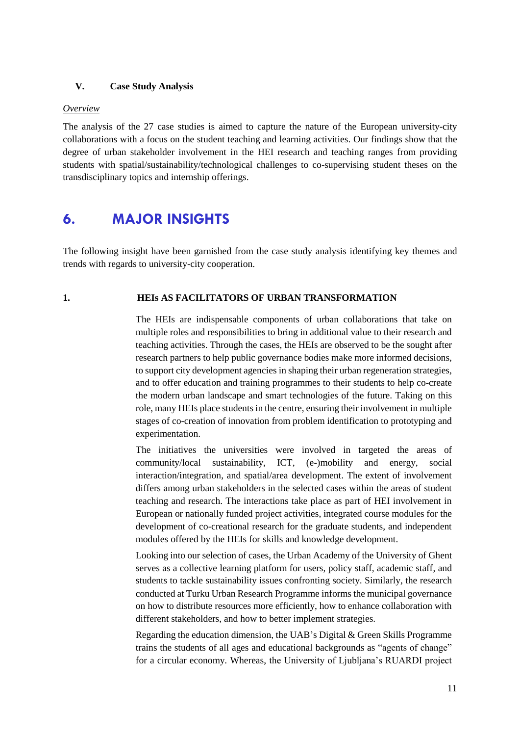#### **V. Case Study Analysis**

#### *Overview*

The analysis of the 27 case studies is aimed to capture the nature of the European university-city collaborations with a focus on the student teaching and learning activities. Our findings show that the degree of urban stakeholder involvement in the HEI research and teaching ranges from providing students with spatial/sustainability/technological challenges to co-supervising student theses on the transdisciplinary topics and internship offerings.

### <span id="page-14-0"></span>**6. MAJOR INSIGHTS**

The following insight have been garnished from the case study analysis identifying key themes and trends with regards to university-city cooperation.

#### **1. HEIs AS FACILITATORS OF URBAN TRANSFORMATION**

The HEIs are indispensable components of urban collaborations that take on multiple roles and responsibilities to bring in additional value to their research and teaching activities. Through the cases, the HEIs are observed to be the sought after research partners to help public governance bodies make more informed decisions, to support city development agencies in shaping their urban regeneration strategies, and to offer education and training programmes to their students to help co-create the modern urban landscape and smart technologies of the future. Taking on this role, many HEIs place students in the centre, ensuring their involvement in multiple stages of co-creation of innovation from problem identification to prototyping and experimentation.

The initiatives the universities were involved in targeted the areas of community/local sustainability, ICT, (e-)mobility and energy, social interaction/integration, and spatial/area development. The extent of involvement differs among urban stakeholders in the selected cases within the areas of student teaching and research. The interactions take place as part of HEI involvement in European or nationally funded project activities, integrated course modules for the development of co-creational research for the graduate students, and independent modules offered by the HEIs for skills and knowledge development.

Looking into our selection of cases, the Urban Academy of the University of Ghent serves as a collective learning platform for users, policy staff, academic staff, and students to tackle sustainability issues confronting society. Similarly, the research conducted at Turku Urban Research Programme informs the municipal governance on how to distribute resources more efficiently, how to enhance collaboration with different stakeholders, and how to better implement strategies.

Regarding the education dimension, the UAB's Digital & Green Skills Programme trains the students of all ages and educational backgrounds as "agents of change" for a circular economy. Whereas, the University of Ljubljana's RUARDI project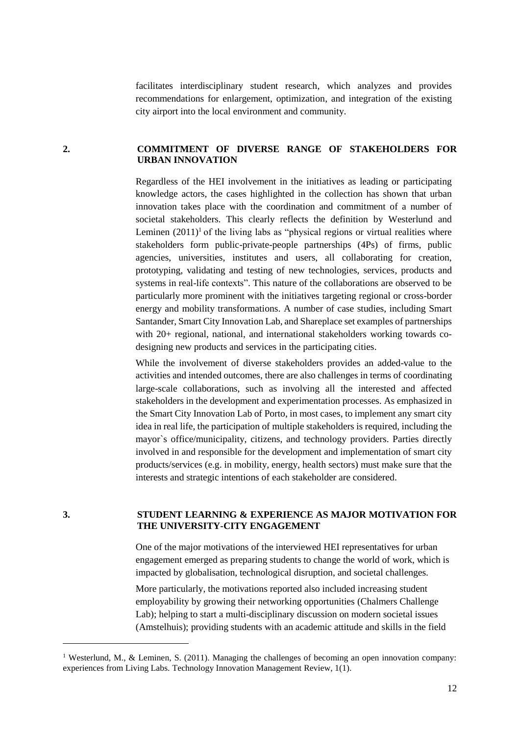facilitates interdisciplinary student research, which analyzes and provides recommendations for enlargement, optimization, and integration of the existing city airport into the local environment and community.

#### **2. COMMITMENT OF DIVERSE RANGE OF STAKEHOLDERS FOR URBAN INNOVATION**

Regardless of the HEI involvement in the initiatives as leading or participating knowledge actors, the cases highlighted in the collection has shown that urban innovation takes place with the coordination and commitment of a number of societal stakeholders. This clearly reflects the definition by Westerlund and Leminen  $(2011)^1$  of the living labs as "physical regions or virtual realities where stakeholders form public-private-people partnerships (4Ps) of firms, public agencies, universities, institutes and users, all collaborating for creation, prototyping, validating and testing of new technologies, services, products and systems in real-life contexts". This nature of the collaborations are observed to be particularly more prominent with the initiatives targeting regional or cross-border energy and mobility transformations. A number of case studies, including Smart Santander, Smart City Innovation Lab, and Shareplace set examples of partnerships with 20+ regional, national, and international stakeholders working towards codesigning new products and services in the participating cities.

While the involvement of diverse stakeholders provides an added-value to the activities and intended outcomes, there are also challenges in terms of coordinating large-scale collaborations, such as involving all the interested and affected stakeholders in the development and experimentation processes. As emphasized in the Smart City Innovation Lab of Porto, in most cases, to implement any smart city idea in real life, the participation of multiple stakeholders is required, including the mayor`s office/municipality, citizens, and technology providers. Parties directly involved in and responsible for the development and implementation of smart city products/services (e.g. in mobility, energy, health sectors) must make sure that the interests and strategic intentions of each stakeholder are considered.

1

#### **3. STUDENT LEARNING & EXPERIENCE AS MAJOR MOTIVATION FOR THE UNIVERSITY-CITY ENGAGEMENT**

One of the major motivations of the interviewed HEI representatives for urban engagement emerged as preparing students to change the world of work, which is impacted by globalisation, technological disruption, and societal challenges.

More particularly, the motivations reported also included increasing student employability by growing their networking opportunities (Chalmers Challenge Lab); helping to start a multi-disciplinary discussion on modern societal issues (Amstelhuis); providing students with an academic attitude and skills in the field

<sup>&</sup>lt;sup>1</sup> Westerlund, M., & Leminen, S. (2011). Managing the challenges of becoming an open innovation company: experiences from Living Labs. Technology Innovation Management Review, 1(1).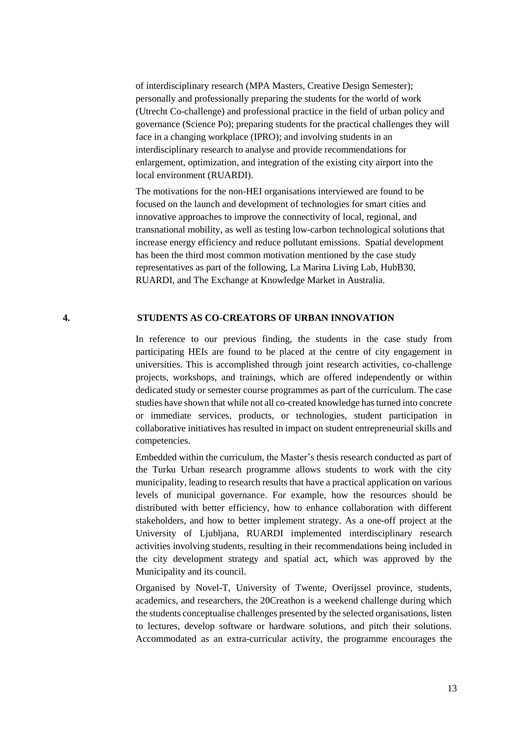of interdisciplinary research (MPA Masters, Creative Design Semester); personally and professionally preparing the students for the world of work (Utrecht Co-challenge) and professional practice in the field of urban policy and governance (Science Po); preparing students for the practical challenges they will face in a changing workplace (IPRO); and involving students in an interdisciplinary research to analyse and provide recommendations for enlargement, optimization, and integration of the existing city airport into the local environment (RUARDI).

The motivations for the non-HEI organisations interviewed are found to be focused on the launch and development of technologies for smart cities and innovative approaches to improve the connectivity of local, regional, and transnational mobility, as well as testing low-carbon technological solutions that increase energy efficiency and reduce pollutant emissions. Spatial development has been the third most common motivation mentioned by the case study representatives as part of the following, La Marina Living Lab, HubB30, RUARDI, and The Exchange at Knowledge Market in Australia.

#### **4. STUDENTS AS CO-CREATORS OF URBAN INNOVATION**

In reference to our previous finding, the students in the case study from participating HEIs are found to be placed at the centre of city engagement in universities. This is accomplished through joint research activities, co-challenge projects, workshops, and trainings, which are offered independently or within dedicated study or semester course programmes as part of the curriculum. The case studies have shown that while not all co-created knowledge has turned into concrete or immediate services, products, or technologies, student participation in collaborative initiatives has resulted in impact on student entrepreneurial skills and competencies.

Embedded within the curriculum, the Master's thesis research conducted as part of the Turku Urban research programme allows students to work with the city municipality, leading to research results that have a practical application on various levels of municipal governance. For example, how the resources should be distributed with better efficiency, how to enhance collaboration with different stakeholders, and how to better implement strategy. As a one-off project at the University of Ljubljana, RUARDI implemented interdisciplinary research activities involving students, resulting in their recommendations being included in the city development strategy and spatial act, which was approved by the Municipality and its council.

Organised by Novel-T, University of Twente, Overijssel province, students, academics, and researchers, the 20Creathon is a weekend challenge during which the students conceptualise challenges presented by the selected organisations, listen to lectures, develop software or hardware solutions, and pitch their solutions. Accommodated as an extra-curricular activity, the programme encourages the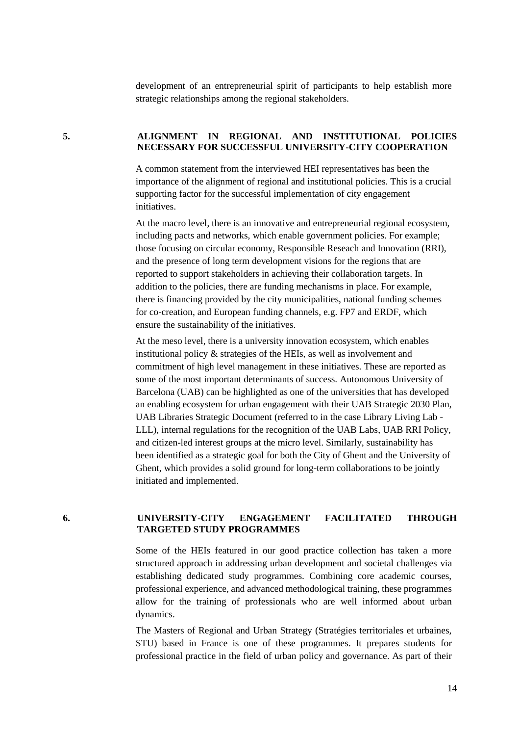development of an entrepreneurial spirit of participants to help establish more strategic relationships among the regional stakeholders.

#### **5. ALIGNMENT IN REGIONAL AND INSTITUTIONAL POLICIES NECESSARY FOR SUCCESSFUL UNIVERSITY-CITY COOPERATION**

A common statement from the interviewed HEI representatives has been the importance of the alignment of regional and institutional policies. This is a crucial supporting factor for the successful implementation of city engagement initiatives.

At the macro level, there is an innovative and entrepreneurial regional ecosystem, including pacts and networks, which enable government policies. For example; those focusing on circular economy, Responsible Reseach and Innovation (RRI), and the presence of long term development visions for the regions that are reported to support stakeholders in achieving their collaboration targets. In addition to the policies, there are funding mechanisms in place. For example, there is financing provided by the city municipalities, national funding schemes for co-creation, and European funding channels, e.g. FP7 and ERDF, which ensure the sustainability of the initiatives.

At the meso level, there is a university innovation ecosystem, which enables institutional policy & strategies of the HEIs, as well as involvement and commitment of high level management in these initiatives. These are reported as some of the most important determinants of success. Autonomous University of Barcelona (UAB) can be highlighted as one of the universities that has developed an enabling ecosystem for urban engagement with their UAB Strategic 2030 Plan, UAB Libraries Strategic Document (referred to in the case Library Living Lab - LLL), internal regulations for the recognition of the UAB Labs, UAB RRI Policy, and citizen-led interest groups at the micro level. Similarly, sustainability has been identified as a strategic goal for both the City of Ghent and the University of Ghent, which provides a solid ground for long-term collaborations to be jointly initiated and implemented.

#### **6. UNIVERSITY-CITY ENGAGEMENT FACILITATED THROUGH TARGETED STUDY PROGRAMMES**

Some of the HEIs featured in our good practice collection has taken a more structured approach in addressing urban development and societal challenges via establishing dedicated study programmes. Combining core academic courses, professional experience, and advanced methodological training, these programmes allow for the training of professionals who are well informed about urban dynamics.

The Masters of Regional and Urban Strategy (Stratégies territoriales et urbaines, STU) based in France is one of these programmes. It prepares students for professional practice in the field of urban policy and governance. As part of their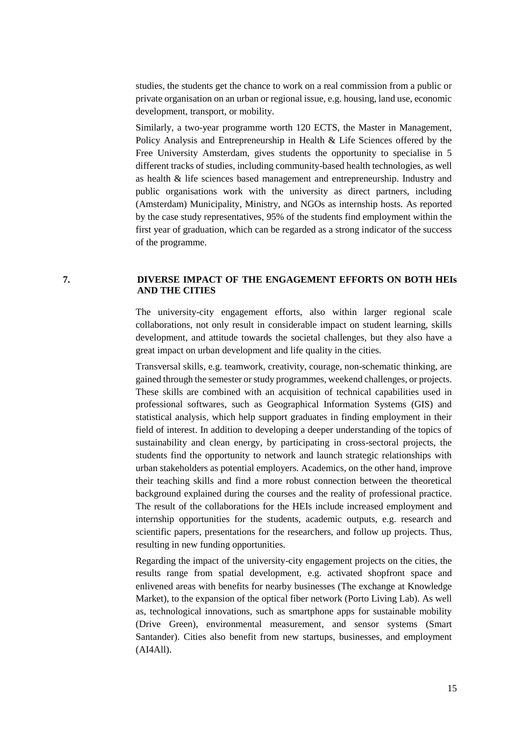studies, the students get the chance to work on a real commission from a public or private organisation on an urban or regional issue, e.g. housing, land use, economic development, transport, or mobility.

Similarly, a two-year programme worth 120 ECTS, the Master in Management, Policy Analysis and Entrepreneurship in Health & Life Sciences offered by the Free University Amsterdam, gives students the opportunity to specialise in 5 different tracks of studies, including community-based health technologies, as well as health & life sciences based management and entrepreneurship. Industry and public organisations work with the university as direct partners, including (Amsterdam) Municipality, Ministry, and NGOs as internship hosts. As reported by the case study representatives, 95% of the students find employment within the first year of graduation, which can be regarded as a strong indicator of the success of the programme.

#### **7. DIVERSE IMPACT OF THE ENGAGEMENT EFFORTS ON BOTH HEIs AND THE CITIES**

The university-city engagement efforts, also within larger regional scale collaborations, not only result in considerable impact on student learning, skills development, and attitude towards the societal challenges, but they also have a great impact on urban development and life quality in the cities.

Transversal skills, e.g. teamwork, creativity, courage, non-schematic thinking, are gained through the semester or study programmes, weekend challenges, or projects. These skills are combined with an acquisition of technical capabilities used in professional softwares, such as Geographical Information Systems (GIS) and statistical analysis, which help support graduates in finding employment in their field of interest. In addition to developing a deeper understanding of the topics of sustainability and clean energy, by participating in cross-sectoral projects, the students find the opportunity to network and launch strategic relationships with urban stakeholders as potential employers. Academics, on the other hand, improve their teaching skills and find a more robust connection between the theoretical background explained during the courses and the reality of professional practice. The result of the collaborations for the HEIs include increased employment and internship opportunities for the students, academic outputs, e.g. research and scientific papers, presentations for the researchers, and follow up projects. Thus, resulting in new funding opportunities.

Regarding the impact of the university-city engagement projects on the cities, the results range from spatial development, e.g. activated shopfront space and enlivened areas with benefits for nearby businesses (The exchange at Knowledge Market), to the expansion of the optical fiber network (Porto Living Lab). As well as, technological innovations, such as smartphone apps for sustainable mobility (Drive Green), environmental measurement, and sensor systems (Smart Santander). Cities also benefit from new startups, businesses, and employment (AI4All).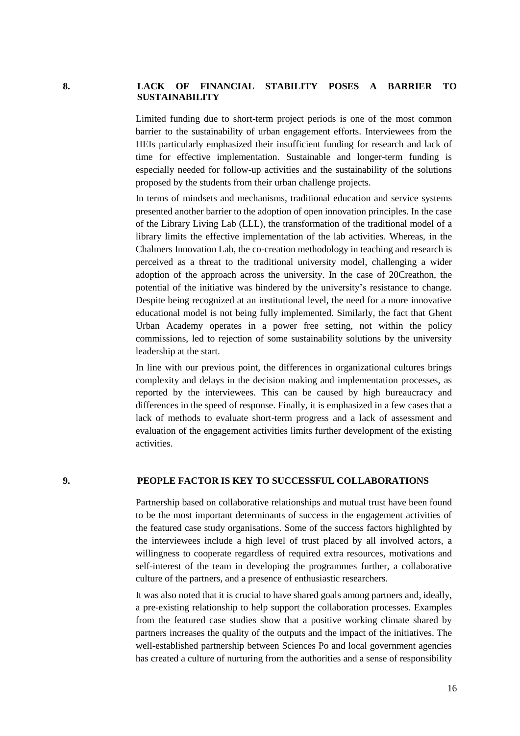#### **8. LACK OF FINANCIAL STABILITY POSES A BARRIER TO SUSTAINABILITY**

Limited funding due to short-term project periods is one of the most common barrier to the sustainability of urban engagement efforts. Interviewees from the HEIs particularly emphasized their insufficient funding for research and lack of time for effective implementation. Sustainable and longer-term funding is especially needed for follow-up activities and the sustainability of the solutions proposed by the students from their urban challenge projects.

In terms of mindsets and mechanisms, traditional education and service systems presented another barrier to the adoption of open innovation principles. In the case of the Library Living Lab (LLL), the transformation of the traditional model of a library limits the effective implementation of the lab activities. Whereas, in the Chalmers Innovation Lab, the co-creation methodology in teaching and research is perceived as a threat to the traditional university model, challenging a wider adoption of the approach across the university. In the case of 20Creathon, the potential of the initiative was hindered by the university's resistance to change. Despite being recognized at an institutional level, the need for a more innovative educational model is not being fully implemented. Similarly, the fact that Ghent Urban Academy operates in a power free setting, not within the policy commissions, led to rejection of some sustainability solutions by the university leadership at the start.

In line with our previous point, the differences in organizational cultures brings complexity and delays in the decision making and implementation processes, as reported by the interviewees. This can be caused by high bureaucracy and differences in the speed of response. Finally, it is emphasized in a few cases that a lack of methods to evaluate short-term progress and a lack of assessment and evaluation of the engagement activities limits further development of the existing activities.

#### **9. PEOPLE FACTOR IS KEY TO SUCCESSFUL COLLABORATIONS**

Partnership based on collaborative relationships and mutual trust have been found to be the most important determinants of success in the engagement activities of the featured case study organisations. Some of the success factors highlighted by the interviewees include a high level of trust placed by all involved actors, a willingness to cooperate regardless of required extra resources, motivations and self-interest of the team in developing the programmes further, a collaborative culture of the partners, and a presence of enthusiastic researchers.

It was also noted that it is crucial to have shared goals among partners and, ideally, a pre-existing relationship to help support the collaboration processes. Examples from the featured case studies show that a positive working climate shared by partners increases the quality of the outputs and the impact of the initiatives. The well-established partnership between Sciences Po and local government agencies has created a culture of nurturing from the authorities and a sense of responsibility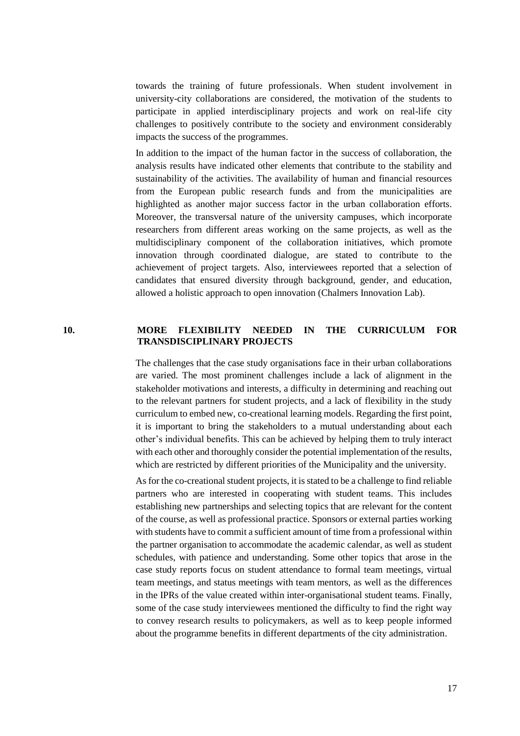towards the training of future professionals. When student involvement in university-city collaborations are considered, the motivation of the students to participate in applied interdisciplinary projects and work on real-life city challenges to positively contribute to the society and environment considerably impacts the success of the programmes.

In addition to the impact of the human factor in the success of collaboration, the analysis results have indicated other elements that contribute to the stability and sustainability of the activities. The availability of human and financial resources from the European public research funds and from the municipalities are highlighted as another major success factor in the urban collaboration efforts. Moreover, the transversal nature of the university campuses, which incorporate researchers from different areas working on the same projects, as well as the multidisciplinary component of the collaboration initiatives, which promote innovation through coordinated dialogue, are stated to contribute to the achievement of project targets. Also, interviewees reported that a selection of candidates that ensured diversity through background, gender, and education, allowed a holistic approach to open innovation (Chalmers Innovation Lab).

#### **10. MORE FLEXIBILITY NEEDED IN THE CURRICULUM FOR TRANSDISCIPLINARY PROJECTS**

The challenges that the case study organisations face in their urban collaborations are varied. The most prominent challenges include a lack of alignment in the stakeholder motivations and interests, a difficulty in determining and reaching out to the relevant partners for student projects, and a lack of flexibility in the study curriculum to embed new, co-creational learning models. Regarding the first point, it is important to bring the stakeholders to a mutual understanding about each other's individual benefits. This can be achieved by helping them to truly interact with each other and thoroughly consider the potential implementation of the results, which are restricted by different priorities of the Municipality and the university.

As for the co-creational student projects, it is stated to be a challenge to find reliable partners who are interested in cooperating with student teams. This includes establishing new partnerships and selecting topics that are relevant for the content of the course, as well as professional practice. Sponsors or external parties working with students have to commit a sufficient amount of time from a professional within the partner organisation to accommodate the academic calendar, as well as student schedules, with patience and understanding. Some other topics that arose in the case study reports focus on student attendance to formal team meetings, virtual team meetings, and status meetings with team mentors, as well as the differences in the IPRs of the value created within inter-organisational student teams. Finally, some of the case study interviewees mentioned the difficulty to find the right way to convey research results to policymakers, as well as to keep people informed about the programme benefits in different departments of the city administration.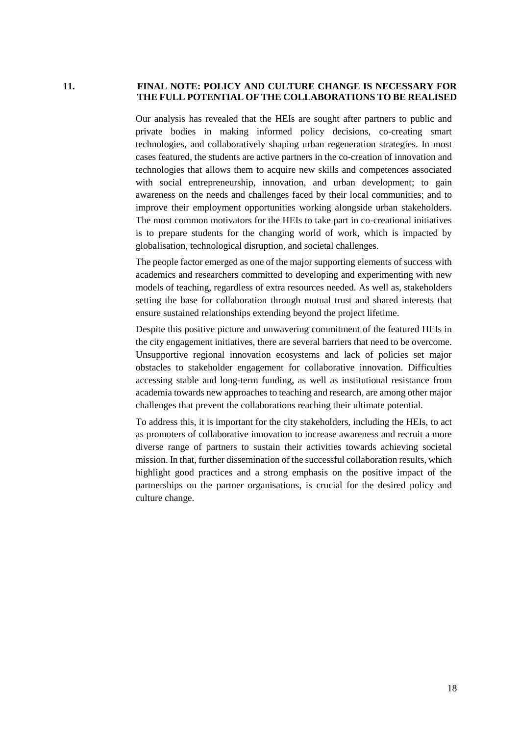#### **11. FINAL NOTE: POLICY AND CULTURE CHANGE IS NECESSARY FOR THE FULL POTENTIAL OF THE COLLABORATIONS TO BE REALISED**

Our analysis has revealed that the HEIs are sought after partners to public and private bodies in making informed policy decisions, co-creating smart technologies, and collaboratively shaping urban regeneration strategies. In most cases featured, the students are active partners in the co-creation of innovation and technologies that allows them to acquire new skills and competences associated with social entrepreneurship, innovation, and urban development; to gain awareness on the needs and challenges faced by their local communities; and to improve their employment opportunities working alongside urban stakeholders. The most common motivators for the HEIs to take part in co-creational initiatives is to prepare students for the changing world of work, which is impacted by globalisation, technological disruption, and societal challenges.

The people factor emerged as one of the major supporting elements of success with academics and researchers committed to developing and experimenting with new models of teaching, regardless of extra resources needed. As well as, stakeholders setting the base for collaboration through mutual trust and shared interests that ensure sustained relationships extending beyond the project lifetime.

Despite this positive picture and unwavering commitment of the featured HEIs in the city engagement initiatives, there are several barriers that need to be overcome. Unsupportive regional innovation ecosystems and lack of policies set major obstacles to stakeholder engagement for collaborative innovation. Difficulties accessing stable and long-term funding, as well as institutional resistance from academia towards new approaches to teaching and research, are among other major challenges that prevent the collaborations reaching their ultimate potential.

To address this, it is important for the city stakeholders, including the HEIs, to act as promoters of collaborative innovation to increase awareness and recruit a more diverse range of partners to sustain their activities towards achieving societal mission. In that, further dissemination of the successful collaboration results, which highlight good practices and a strong emphasis on the positive impact of the partnerships on the partner organisations, is crucial for the desired policy and culture change.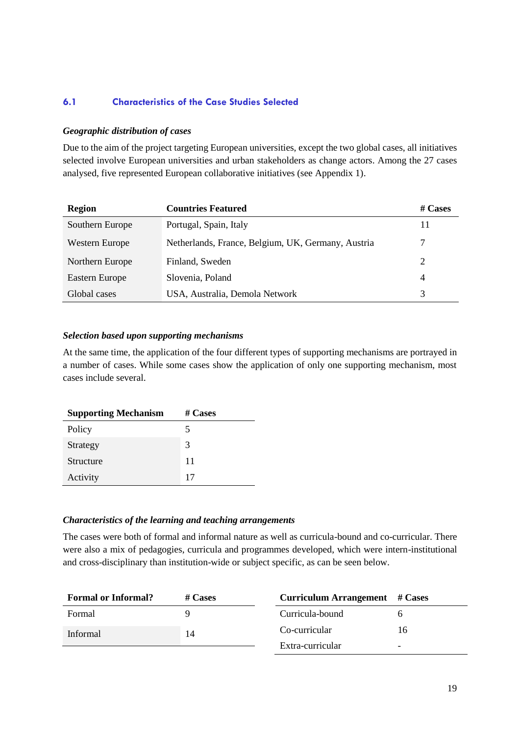#### <span id="page-22-0"></span>**6.1 Characteristics of the Case Studies Selected**

#### *Geographic distribution of cases*

Due to the aim of the project targeting European universities, except the two global cases, all initiatives selected involve European universities and urban stakeholders as change actors. Among the 27 cases analysed, five represented European collaborative initiatives (see Appendix 1).

| <b>Region</b>         | <b>Countries Featured</b>                          | # $\bf{C}$ ases |
|-----------------------|----------------------------------------------------|-----------------|
| Southern Europe       | Portugal, Spain, Italy                             | 11              |
| <b>Western Europe</b> | Netherlands, France, Belgium, UK, Germany, Austria | 7               |
| Northern Europe       | Finland, Sweden                                    | 2               |
| <b>Eastern Europe</b> | Slovenia, Poland                                   | 4               |
| Global cases          | USA, Australia, Demola Network                     | 3               |

#### *Selection based upon supporting mechanisms*

At the same time, the application of the four different types of supporting mechanisms are portrayed in a number of cases. While some cases show the application of only one supporting mechanism, most cases include several.

| <b>Supporting Mechanism</b> | # Cases |
|-----------------------------|---------|
| Policy                      | 5       |
| Strategy                    | 3       |
| Structure                   | 11      |
| Activity                    | 17      |

#### *Characteristics of the learning and teaching arrangements*

The cases were both of formal and informal nature as well as curricula-bound and co-curricular. There were also a mix of pedagogies, curricula and programmes developed, which were intern-institutional and cross-disciplinary than institution-wide or subject specific, as can be seen below.

| <b>Formal or Informal?</b> | $# \, \text{Cases}$ | Curriculum Arrangement # Cases |    |
|----------------------------|---------------------|--------------------------------|----|
| Formal                     |                     | Curricula-bound                |    |
| Informal                   | 14                  | Co-curricular                  | Iб |
|                            |                     | Extra-curricular               | -  |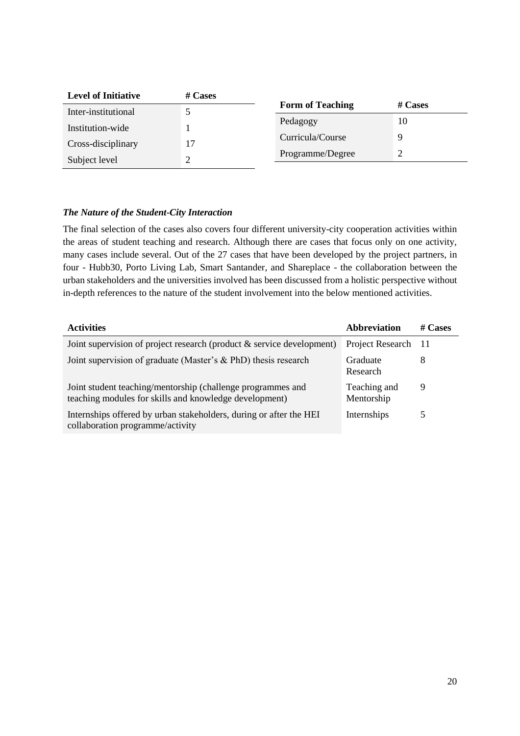| <b>Level of Initiative</b> | # Cases |                         |         |  |
|----------------------------|---------|-------------------------|---------|--|
| Inter-institutional        |         | <b>Form of Teaching</b> | # Cases |  |
| Institution-wide           |         | Pedagogy                | 10      |  |
| Cross-disciplinary         | 17      | Curricula/Course        |         |  |
|                            |         | Programme/Degree        |         |  |
| Subject level              |         |                         |         |  |

#### *The Nature of the Student-City Interaction*

The final selection of the cases also covers four different university-city cooperation activities within the areas of student teaching and research. Although there are cases that focus only on one activity, many cases include several. Out of the 27 cases that have been developed by the project partners, in four - Hubb30, Porto Living Lab, Smart Santander, and Shareplace - the collaboration between the urban stakeholders and the universities involved has been discussed from a holistic perspective without in-depth references to the nature of the student involvement into the below mentioned activities.

| <b>Activities</b>                                                                                                     | Abbreviation               | # Cases |
|-----------------------------------------------------------------------------------------------------------------------|----------------------------|---------|
| Joint supervision of project research (product $&$ service development)                                               | Project Research           | -11     |
| Joint supervision of graduate (Master's & PhD) thesis research                                                        | Graduate<br>Research       | 8       |
| Joint student teaching/mentorship (challenge programmes and<br>teaching modules for skills and knowledge development) | Teaching and<br>Mentorship | 9       |
| Internships offered by urban stakeholders, during or after the HEI<br>collaboration programme/activity                | Internships                | 5       |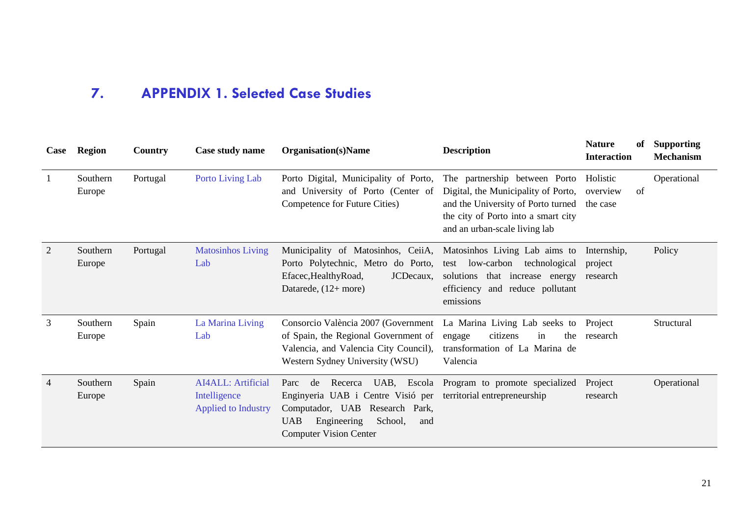### **7. APPENDIX 1. Selected Case Studies**

<span id="page-24-0"></span>

| Case           | <b>Region</b>      | Country  | Case study name                                                          | <b>Organisation</b> (s)Name                                                                                                                                                                 | <b>Description</b>                                                                                                                                                                 | <b>Nature</b><br>of<br><b>Interaction</b> | <b>Supporting</b><br><b>Mechanism</b> |
|----------------|--------------------|----------|--------------------------------------------------------------------------|---------------------------------------------------------------------------------------------------------------------------------------------------------------------------------------------|------------------------------------------------------------------------------------------------------------------------------------------------------------------------------------|-------------------------------------------|---------------------------------------|
|                | Southern<br>Europe | Portugal | Porto Living Lab                                                         | Porto Digital, Municipality of Porto,<br>and University of Porto (Center of<br>Competence for Future Cities)                                                                                | The partnership between Porto<br>Digital, the Municipality of Porto,<br>and the University of Porto turned<br>the city of Porto into a smart city<br>and an urban-scale living lab | Holistic<br>overview<br>of<br>the case    | Operational                           |
| 2              | Southern<br>Europe | Portugal | <b>Matosinhos Living</b><br>Lab                                          | Municipality of Matosinhos, CeiiA,<br>Porto Polytechnic, Metro do Porto,<br>Efacec, Healthy Road,<br>JCDecaux,<br>Datarede, $(12 + more)$                                                   | Matosinhos Living Lab aims to<br>low-carbon<br>technological<br>test<br>solutions that increase energy<br>efficiency and reduce pollutant<br>emissions                             | Internship,<br>project<br>research        | Policy                                |
| 3              | Southern<br>Europe | Spain    | La Marina Living<br>Lab                                                  | Consorcio València 2007 (Government<br>of Spain, the Regional Government of<br>Valencia, and Valencia City Council),<br>Western Sydney University (WSU)                                     | La Marina Living Lab seeks to<br>citizens<br>in<br>the<br>engage<br>transformation of La Marina de<br>Valencia                                                                     | Project<br>research                       | Structural                            |
| $\overline{4}$ | Southern<br>Europe | Spain    | <b>AI4ALL</b> : Artificial<br>Intelligence<br><b>Applied to Industry</b> | UAB, Escola<br>Parc<br>de<br>Recerca<br>Enginyeria UAB i Centre Visió per<br>Computador, UAB Research Park,<br><b>UAB</b><br>Engineering<br>School,<br>and<br><b>Computer Vision Center</b> | Program to promote specialized<br>territorial entrepreneurship                                                                                                                     | Project<br>research                       | Operational                           |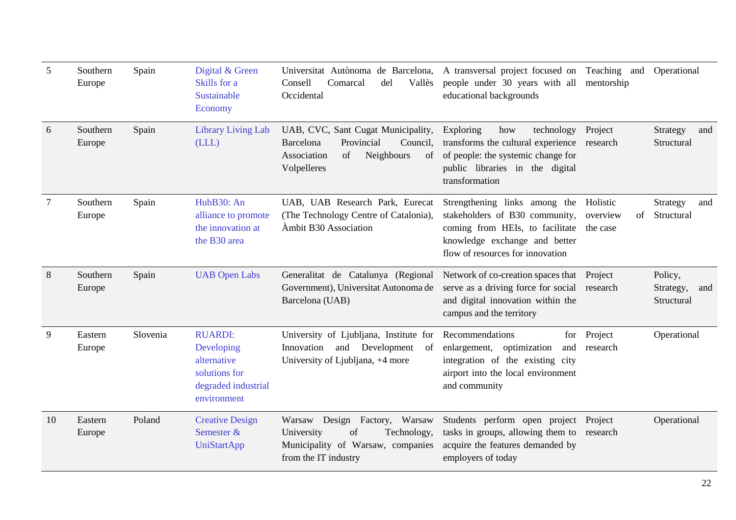| 5              | Southern<br>Europe | Spain    | Digital & Green<br>Skills for a<br>Sustainable<br>Economy                                          | Universitat Autònoma de Barcelona, A transversal project focused on Teaching and<br>Comarcal<br>del<br>Vallès<br>Consell<br>Occidental | people under 30 years with all mentorship<br>educational backgrounds                                                                                                                |                                        | Operational                               |
|----------------|--------------------|----------|----------------------------------------------------------------------------------------------------|----------------------------------------------------------------------------------------------------------------------------------------|-------------------------------------------------------------------------------------------------------------------------------------------------------------------------------------|----------------------------------------|-------------------------------------------|
| 6              | Southern<br>Europe | Spain    | <b>Library Living Lab</b><br>(LLL)                                                                 | UAB, CVC, Sant Cugat Municipality,<br>Barcelona<br>Provincial<br>Council,<br>Association<br>Neighbours<br>of<br>of<br>Volpelleres      | Exploring<br>how<br>Project<br>technology<br>transforms the cultural experience research<br>of people: the systemic change for<br>public libraries in the digital<br>transformation |                                        | Strategy<br>and<br>Structural             |
| $\overline{7}$ | Southern<br>Europe | Spain    | HubB30: An<br>alliance to promote<br>the innovation at<br>the B30 area                             | UAB, UAB Research Park, Eurecat<br>(The Technology Centre of Catalonia),<br>Ambit B30 Association                                      | Strengthening links among the<br>stakeholders of B30 community,<br>coming from HEIs, to facilitate<br>knowledge exchange and better<br>flow of resources for innovation             | Holistic<br>overview<br>of<br>the case | Strategy<br>and<br>Structural             |
| 8              | Southern<br>Europe | Spain    | <b>UAB</b> Open Labs                                                                               | Generalitat de Catalunya (Regional<br>Government), Universitat Autonoma de<br>Barcelona (UAB)                                          | Network of co-creation spaces that Project<br>serve as a driving force for social research<br>and digital innovation within the<br>campus and the territory                         |                                        | Policy,<br>Strategy,<br>and<br>Structural |
| 9              | Eastern<br>Europe  | Slovenia | <b>RUARDI:</b><br>Developing<br>alternative<br>solutions for<br>degraded industrial<br>environment | University of Ljubljana, Institute for<br>Innovation<br>and<br>Development<br>of<br>University of Ljubljana, +4 more                   | Recommendations<br>for<br>enlargement, optimization<br>and<br>integration of the existing city<br>airport into the local environment<br>and community                               | Project<br>research                    | Operational                               |
| 10             | Eastern<br>Europe  | Poland   | <b>Creative Design</b><br>Semester &<br><b>UniStartApp</b>                                         | Design Factory,<br>Warsaw<br>Warsaw<br>of<br>Technology,<br>University<br>Municipality of Warsaw, companies<br>from the IT industry    | Students perform open project Project<br>tasks in groups, allowing them to research<br>acquire the features demanded by<br>employers of today                                       |                                        | Operational                               |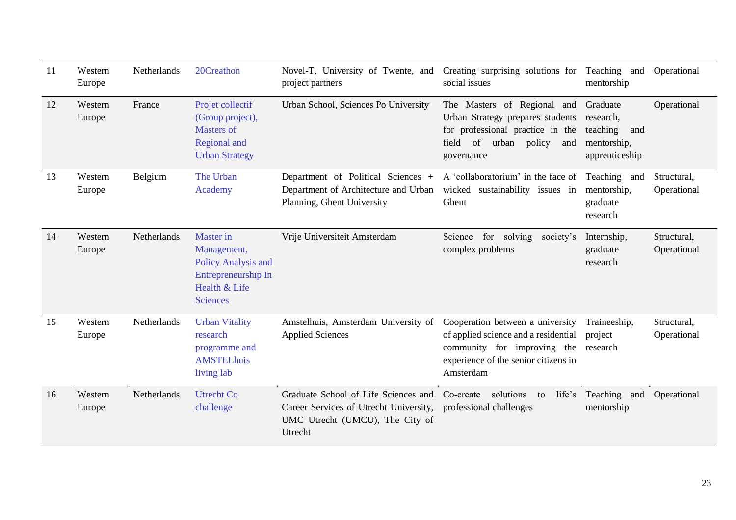| 11 | Western<br>Europe | Netherlands | 20Creathon                                                                                                        | Novel-T, University of Twente, and<br>project partners                                                                       | Creating surprising solutions for<br>social issues                                                                                                           | Teaching and<br>mentorship                                                | Operational                |
|----|-------------------|-------------|-------------------------------------------------------------------------------------------------------------------|------------------------------------------------------------------------------------------------------------------------------|--------------------------------------------------------------------------------------------------------------------------------------------------------------|---------------------------------------------------------------------------|----------------------------|
| 12 | Western<br>Europe | France      | Projet collectif<br>(Group project),<br><b>Masters of</b><br>Regional and<br><b>Urban Strategy</b>                | Urban School, Sciences Po University                                                                                         | The Masters of Regional and<br>Urban Strategy prepares students<br>for professional practice in the<br>field<br>of<br>urban<br>policy<br>and<br>governance   | Graduate<br>research,<br>teaching<br>and<br>mentorship,<br>apprenticeship | Operational                |
| 13 | Western<br>Europe | Belgium     | The Urban<br>Academy                                                                                              | Department of Political Sciences +<br>Department of Architecture and Urban<br>Planning, Ghent University                     | A 'collaboratorium' in the face of<br>wicked sustainability issues in<br>Ghent                                                                               | Teaching and<br>mentorship,<br>graduate<br>research                       | Structural,<br>Operational |
| 14 | Western<br>Europe | Netherlands | <b>Master</b> in<br>Management,<br>Policy Analysis and<br>Entrepreneurship In<br>Health & Life<br><b>Sciences</b> | Vrije Universiteit Amsterdam                                                                                                 | Science<br>for solving<br>society's<br>complex problems                                                                                                      | Internship,<br>graduate<br>research                                       | Structural,<br>Operational |
| 15 | Western<br>Europe | Netherlands | <b>Urban Vitality</b><br>research<br>programme and<br><b>AMSTELhuis</b><br>living lab                             | Amstelhuis, Amsterdam University of<br><b>Applied Sciences</b>                                                               | Cooperation between a university<br>of applied science and a residential<br>community for improving the<br>experience of the senior citizens in<br>Amsterdam | Traineeship,<br>project<br>research                                       | Structural,<br>Operational |
| 16 | Western<br>Europe | Netherlands | <b>Utrecht Co</b><br>challenge                                                                                    | Graduate School of Life Sciences and<br>Career Services of Utrecht University,<br>UMC Utrecht (UMCU), The City of<br>Utrecht | solutions<br>life's<br>Co-create<br>to<br>professional challenges                                                                                            | Teaching and<br>mentorship                                                | Operational                |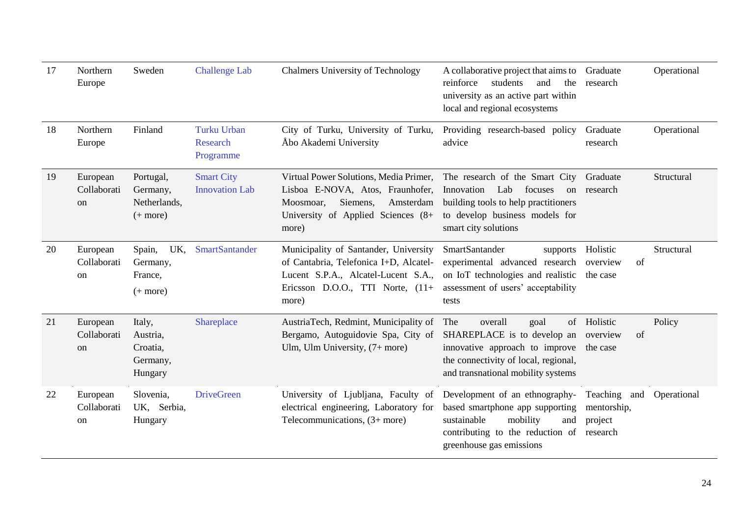| 17 | Northern<br>Europe                       | Sweden                                                | <b>Challenge Lab</b>                               | <b>Chalmers University of Technology</b>                                                                                                                               | A collaborative project that aims to<br>students<br>reinforce<br>and<br>the<br>university as an active part within<br>local and regional ecosystems                               | Graduate<br>research                               | Operational |
|----|------------------------------------------|-------------------------------------------------------|----------------------------------------------------|------------------------------------------------------------------------------------------------------------------------------------------------------------------------|-----------------------------------------------------------------------------------------------------------------------------------------------------------------------------------|----------------------------------------------------|-------------|
| 18 | Northern<br>Europe                       | Finland                                               | <b>Turku Urban</b><br><b>Research</b><br>Programme | City of Turku, University of Turku,<br>Åbo Akademi University                                                                                                          | Providing research-based policy<br>advice                                                                                                                                         | Graduate<br>research                               | Operational |
| 19 | European<br>Collaborati<br><sub>on</sub> | Portugal,<br>Germany,<br>Netherlands,<br>$(+$ more)   | <b>Smart City</b><br><b>Innovation Lab</b>         | Virtual Power Solutions, Media Primer,<br>Lisboa E-NOVA, Atos, Fraunhofer,<br>Siemens,<br>Amsterdam<br>Moosmoar,<br>University of Applied Sciences (8+<br>more)        | The research of the Smart City<br>Innovation<br>Lab<br>focuses<br><sub>on</sub><br>building tools to help practitioners<br>to develop business models for<br>smart city solutions | Graduate<br>research                               | Structural  |
| 20 | European<br>Collaborati<br>on            | UK,<br>Spain,<br>Germany,<br>France,<br>$(+$ more)    | <b>SmartSantander</b>                              | Municipality of Santander, University<br>of Cantabria, Telefonica I+D, Alcatel-<br>Lucent S.P.A., Alcatel-Lucent S.A.,<br>Ericsson D.O.O., TTI Norte, $(11+)$<br>more) | SmartSantander<br>supports<br>experimental advanced research<br>on IoT technologies and realistic<br>assessment of users' acceptability<br>tests                                  | Holistic<br>of<br>overview<br>the case             | Structural  |
| 21 | European<br>Collaborati<br>on            | Italy,<br>Austria,<br>Croatia,<br>Germany,<br>Hungary | Shareplace                                         | AustriaTech, Redmint, Municipality of<br>Bergamo, Autoguidovie Spa, City of<br>Ulm, Ulm University, $(7 + more)$                                                       | overall<br>The<br>goal<br>SHAREPLACE is to develop an<br>innovative approach to improve<br>the connectivity of local, regional,<br>and transnational mobility systems             | of Holistic<br>of<br>overview<br>the case          | Policy      |
| 22 | European<br>Collaborati<br>on            | Slovenia,<br>UK, Serbia,<br>Hungary                   | <b>DriveGreen</b>                                  | University of Ljubljana, Faculty of<br>electrical engineering, Laboratory for<br>Telecommunications, $(3 + more)$                                                      | Development of an ethnography-<br>based smartphone app supporting<br>sustainable<br>mobility<br>and<br>contributing to the reduction of<br>greenhouse gas emissions               | Teaching and<br>mentorship,<br>project<br>research | Operational |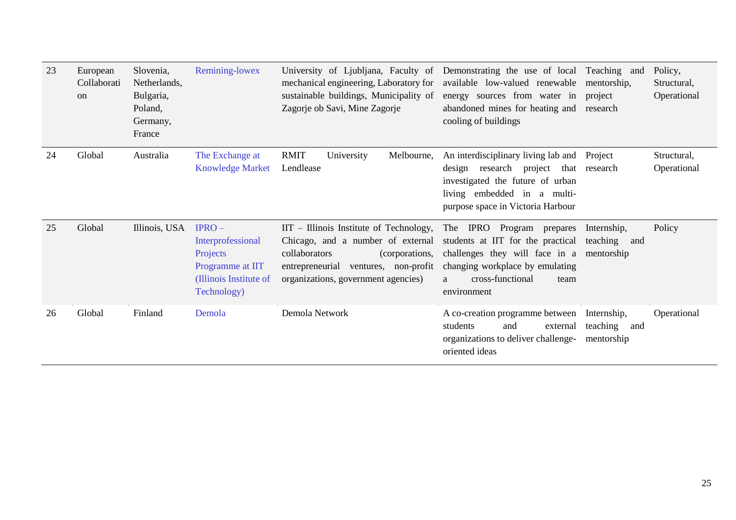| 23 | European<br>Collaborati<br>on | Slovenia,<br>Netherlands,<br>Bulgaria,<br>Poland,<br>Germany,<br>France | Remining-lowex                                                                                        | University of Ljubljana, Faculty of<br>mechanical engineering, Laboratory for<br>sustainable buildings, Municipality of<br>Zagorje ob Savi, Mine Zagorje                                         | Demonstrating the use of local Teaching and<br>available low-valued renewable<br>energy sources from water in<br>abandoned mines for heating and<br>cooling of buildings                       | mentorship,<br>project<br>research           | Policy,<br>Structural,<br>Operational |
|----|-------------------------------|-------------------------------------------------------------------------|-------------------------------------------------------------------------------------------------------|--------------------------------------------------------------------------------------------------------------------------------------------------------------------------------------------------|------------------------------------------------------------------------------------------------------------------------------------------------------------------------------------------------|----------------------------------------------|---------------------------------------|
| 24 | Global                        | Australia                                                               | The Exchange at<br><b>Knowledge Market</b>                                                            | <b>RMIT</b><br>University<br>Melbourne,<br>Lendlease                                                                                                                                             | An interdisciplinary living lab and<br>research project<br>design<br>that<br>investigated the future of urban<br>living embedded in a multi-<br>purpose space in Victoria Harbour              | Project<br>research                          | Structural,<br>Operational            |
| 25 | Global                        | Illinois, USA                                                           | $IPRO-$<br>Interprofessional<br>Projects<br>Programme at IIT<br>(Illinois Institute of<br>Technology) | $IIT$ – Illinois Institute of Technology,<br>Chicago, and a number of external<br>collaborators<br>(corporations,<br>entrepreneurial ventures, non-profit<br>organizations, government agencies) | The IPRO Program prepares<br>students at IIT for the practical<br>challenges they will face in a mentorship<br>changing workplace by emulating<br>cross-functional<br>team<br>a<br>environment | Internship,<br>teaching<br>and               | Policy                                |
| 26 | Global                        | Finland                                                                 | Demola                                                                                                | Demola Network                                                                                                                                                                                   | A co-creation programme between<br>students<br>and<br>external<br>organizations to deliver challenge-<br>oriented ideas                                                                        | Internship,<br>teaching<br>and<br>mentorship | Operational                           |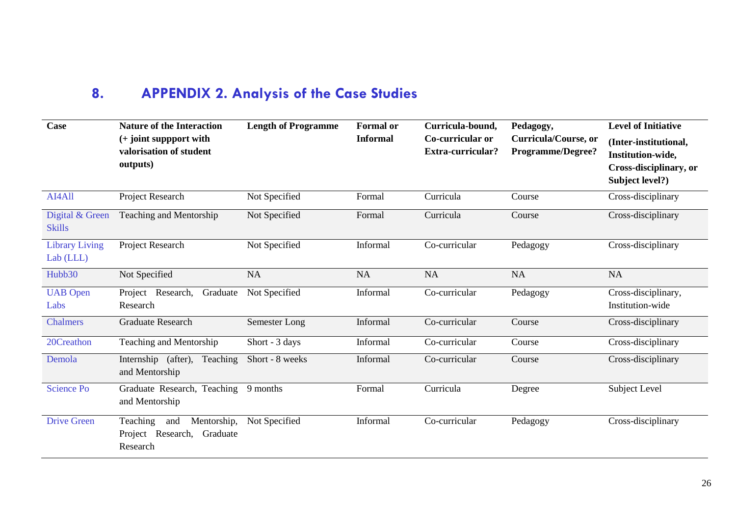## **8. APPENDIX 2. Analysis of the Case Studies**

<span id="page-29-0"></span>

| <b>Case</b>                        | <b>Nature of the Interaction</b><br>$(+$ joint suppport with<br>valorisation of student<br>outputs) | <b>Length of Programme</b> | <b>Formal</b> or<br><b>Informal</b> | Curricula-bound,<br>Co-curricular or<br>Extra-curricular? | Pedagogy,<br>Curricula/Course, or<br><b>Programme/Degree?</b> | <b>Level of Initiative</b><br>(Inter-institutional,<br>Institution-wide,<br>Cross-disciplinary, or<br>Subject level?) |
|------------------------------------|-----------------------------------------------------------------------------------------------------|----------------------------|-------------------------------------|-----------------------------------------------------------|---------------------------------------------------------------|-----------------------------------------------------------------------------------------------------------------------|
| AI4All                             | Project Research                                                                                    | Not Specified              | Formal                              | Curricula                                                 | Course                                                        | Cross-disciplinary                                                                                                    |
| Digital & Green<br><b>Skills</b>   | Teaching and Mentorship                                                                             | Not Specified              | Formal                              | Curricula                                                 | Course                                                        | Cross-disciplinary                                                                                                    |
| <b>Library Living</b><br>Lab (LLL) | Project Research                                                                                    | Not Specified              | Informal                            | Co-curricular                                             | Pedagogy                                                      | Cross-disciplinary                                                                                                    |
| Hubb30                             | Not Specified                                                                                       | <b>NA</b>                  | <b>NA</b>                           | <b>NA</b>                                                 | <b>NA</b>                                                     | <b>NA</b>                                                                                                             |
| <b>UAB</b> Open<br>Labs            | Project Research,<br>Graduate<br>Research                                                           | Not Specified              | Informal                            | Co-curricular                                             | Pedagogy                                                      | Cross-disciplinary,<br>Institution-wide                                                                               |
| <b>Chalmers</b>                    | <b>Graduate Research</b>                                                                            | Semester Long              | Informal                            | Co-curricular                                             | Course                                                        | Cross-disciplinary                                                                                                    |
| 20Creathon                         | Teaching and Mentorship                                                                             | Short - 3 days             | Informal                            | Co-curricular                                             | Course                                                        | Cross-disciplinary                                                                                                    |
| Demola                             | Internship (after), Teaching<br>and Mentorship                                                      | Short - 8 weeks            | Informal                            | Co-curricular                                             | Course                                                        | Cross-disciplinary                                                                                                    |
| <b>Science Po</b>                  | Graduate Research, Teaching<br>and Mentorship                                                       | 9 months                   | Formal                              | Curricula                                                 | Degree                                                        | Subject Level                                                                                                         |
| <b>Drive Green</b>                 | Teaching<br>Mentorship,<br>and<br>Project Research,<br>Graduate<br>Research                         | Not Specified              | Informal                            | Co-curricular                                             | Pedagogy                                                      | Cross-disciplinary                                                                                                    |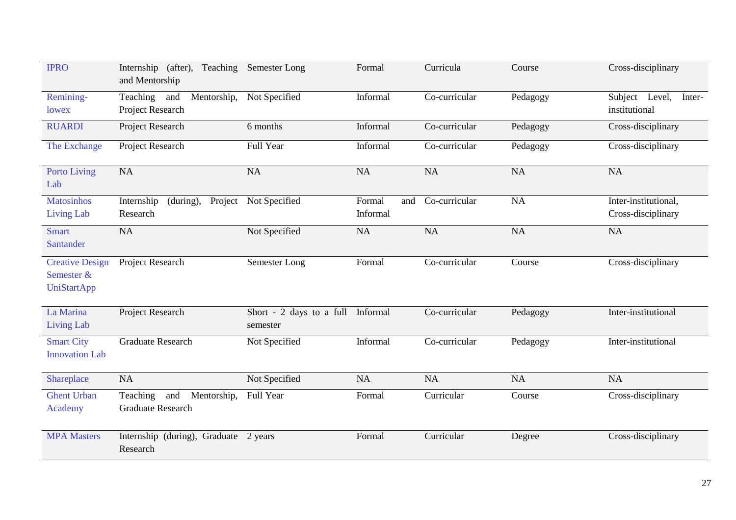| <b>IPRO</b>                                                | Internship (after),<br>Teaching<br>and Mentorship          | Semester Long                                 | Formal                    | Curricula     | Course    | Cross-disciplinary                         |
|------------------------------------------------------------|------------------------------------------------------------|-----------------------------------------------|---------------------------|---------------|-----------|--------------------------------------------|
| Remining-<br>lowex                                         | Teaching<br>Mentorship,<br>and<br>Project Research         | Not Specified                                 | Informal                  | Co-curricular | Pedagogy  | Subject Level,<br>Inter-<br>institutional  |
| <b>RUARDI</b>                                              | Project Research                                           | 6 months                                      | Informal                  | Co-curricular | Pedagogy  | Cross-disciplinary                         |
| The Exchange                                               | Project Research                                           | Full Year                                     | Informal                  | Co-curricular | Pedagogy  | Cross-disciplinary                         |
| <b>Porto Living</b><br>Lab                                 | NA                                                         | NA                                            | <b>NA</b>                 | <b>NA</b>     | <b>NA</b> | NA                                         |
| <b>Matosinhos</b><br><b>Living Lab</b>                     | (during),<br>Internship<br>Project<br>Research             | Not Specified                                 | Formal<br>and<br>Informal | Co-curricular | NA        | Inter-institutional,<br>Cross-disciplinary |
| <b>Smart</b><br>Santander                                  | <b>NA</b>                                                  | Not Specified                                 | <b>NA</b>                 | NA            | NA        | <b>NA</b>                                  |
| <b>Creative Design</b><br>Semester &<br><b>UniStartApp</b> | Project Research                                           | Semester Long                                 | Formal                    | Co-curricular | Course    | Cross-disciplinary                         |
| La Marina<br><b>Living Lab</b>                             | Project Research                                           | Short - 2 days to a full Informal<br>semester |                           | Co-curricular | Pedagogy  | Inter-institutional                        |
| <b>Smart City</b><br><b>Innovation Lab</b>                 | <b>Graduate Research</b>                                   | Not Specified                                 | Informal                  | Co-curricular | Pedagogy  | Inter-institutional                        |
| Shareplace                                                 | <b>NA</b>                                                  | Not Specified                                 | <b>NA</b>                 | <b>NA</b>     | NA        | <b>NA</b>                                  |
| <b>Ghent Urban</b><br>Academy                              | Teaching<br>Mentorship,<br>and<br><b>Graduate Research</b> | Full Year                                     | Formal                    | Curricular    | Course    | Cross-disciplinary                         |
| <b>MPA Masters</b>                                         | Internship (during), Graduate 2 years<br>Research          |                                               | Formal                    | Curricular    | Degree    | Cross-disciplinary                         |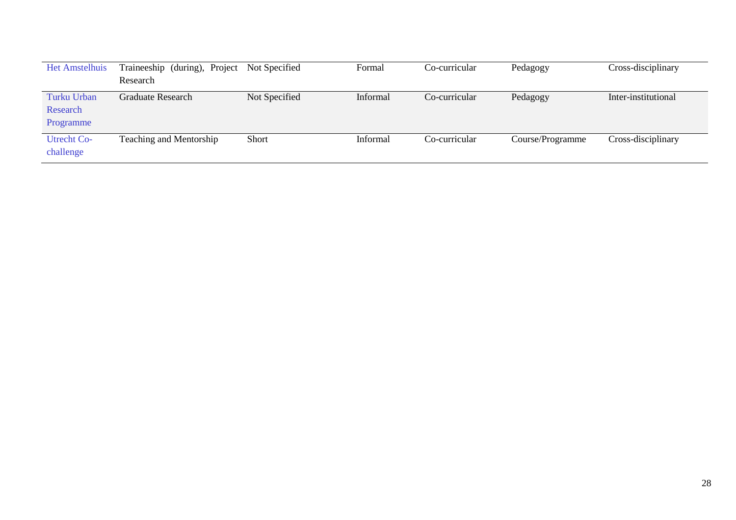| <b>Het Amstelhuis</b>                | Traineeship (during), Project | Not Specified | Formal   | Co-curricular | Pedagogy         | Cross-disciplinary  |
|--------------------------------------|-------------------------------|---------------|----------|---------------|------------------|---------------------|
|                                      | Research                      |               |          |               |                  |                     |
| Turku Urban<br>Research<br>Programme | Graduate Research             | Not Specified | Informal | Co-curricular | Pedagogy         | Inter-institutional |
| <b>Utrecht Co-</b><br>challenge      | Teaching and Mentorship       | Short         | Informal | Co-curricular | Course/Programme | Cross-disciplinary  |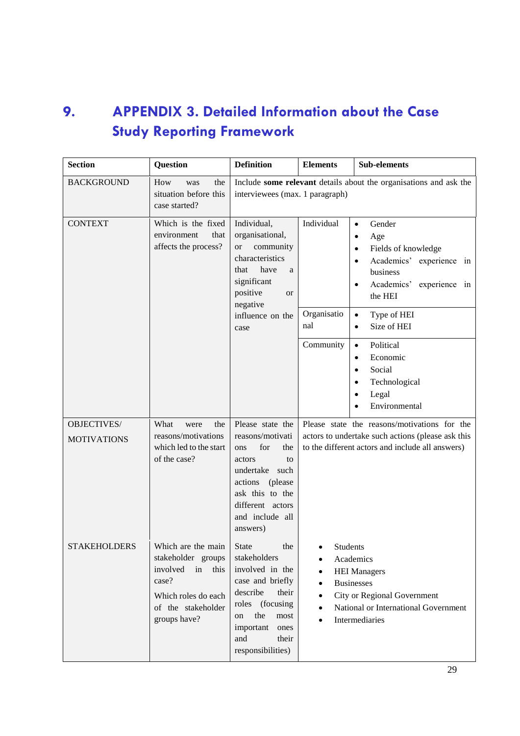### <span id="page-32-0"></span>**9. APPENDIX 3. Detailed Information about the Case Study Reporting Framework**

| <b>Section</b>                    | <b>Question</b>                                                                                                                       | <b>Definition</b>                                                                                                                                                                                         | <b>Elements</b>                                                                                                                                                                             | <b>Sub-elements</b>                                                                                                                                                                                                                             |
|-----------------------------------|---------------------------------------------------------------------------------------------------------------------------------------|-----------------------------------------------------------------------------------------------------------------------------------------------------------------------------------------------------------|---------------------------------------------------------------------------------------------------------------------------------------------------------------------------------------------|-------------------------------------------------------------------------------------------------------------------------------------------------------------------------------------------------------------------------------------------------|
| <b>BACKGROUND</b>                 | How<br>the<br>was<br>situation before this<br>case started?                                                                           | interviewees (max. 1 paragraph)                                                                                                                                                                           |                                                                                                                                                                                             | Include some relevant details about the organisations and ask the                                                                                                                                                                               |
| <b>CONTEXT</b>                    | Which is the fixed<br>environment<br>that<br>affects the process?                                                                     | Individual,<br>organisational,<br>community<br><b>or</b><br>characteristics<br>have<br>that<br>a<br>significant<br>positive<br><b>or</b><br>negative<br>influence on the<br>case                          | Individual<br>Organisatio<br>nal                                                                                                                                                            | Gender<br>$\bullet$<br>Age<br>$\bullet$<br>Fields of knowledge<br>$\bullet$<br>Academics' experience in<br>$\bullet$<br>business<br>Academics'<br>experience in<br>$\bullet$<br>the HEI<br>Type of HEI<br>$\bullet$<br>Size of HEI<br>$\bullet$ |
|                                   |                                                                                                                                       |                                                                                                                                                                                                           | Community                                                                                                                                                                                   | Political<br>$\bullet$<br>Economic<br>$\bullet$<br>Social<br>$\bullet$<br>Technological<br>٠<br>Legal<br>Environmental                                                                                                                          |
| OBJECTIVES/<br><b>MOTIVATIONS</b> | What<br>the<br>were<br>reasons/motivations<br>which led to the start<br>of the case?                                                  | Please state the<br>reasons/motivati<br>for<br>the<br>ons<br>actors<br>to<br>undertake such<br>actions (please<br>ask this to the<br>different actors<br>and include all<br>answers)                      |                                                                                                                                                                                             | Please state the reasons/motivations for the<br>actors to undertake such actions (please ask this<br>to the different actors and include all answers)                                                                                           |
| STAKEHOLDERS                      | Which are the main<br>stakeholder groups<br>involved in<br>this<br>case?<br>Which roles do each<br>of the stakeholder<br>groups have? | <b>State</b><br>the<br>stakeholders<br>involved in the<br>case and briefly<br>describe<br>their<br>roles (focusing<br>the<br>${\rm most}$<br>on<br>important<br>ones<br>and<br>their<br>responsibilities) | <b>Students</b><br>$\bullet$<br>Academics<br>$\bullet$<br><b>HEI Managers</b><br><b>Businesses</b><br>City or Regional Government<br>National or International Government<br>Intermediaries |                                                                                                                                                                                                                                                 |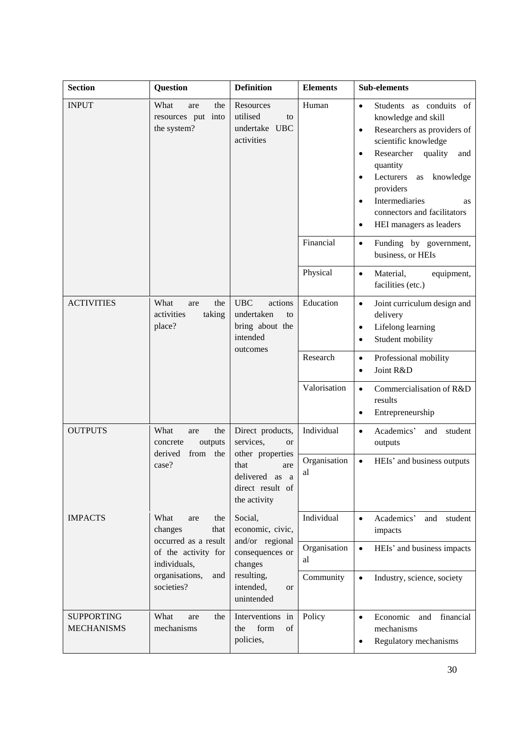| <b>Section</b>                         | <b>Question</b>                                                                                                                             | <b>Definition</b>                                                                                                                   | <b>Elements</b>    | <b>Sub-elements</b>                                                                                                                                                                                                                                                                                                                                                   |
|----------------------------------------|---------------------------------------------------------------------------------------------------------------------------------------------|-------------------------------------------------------------------------------------------------------------------------------------|--------------------|-----------------------------------------------------------------------------------------------------------------------------------------------------------------------------------------------------------------------------------------------------------------------------------------------------------------------------------------------------------------------|
| <b>INPUT</b>                           | What<br>the<br>are<br>resources put into<br>the system?                                                                                     | Resources<br>utilised<br>to<br>undertake UBC<br>activities                                                                          | Human              | Students as conduits of<br>$\bullet$<br>knowledge and skill<br>Researchers as providers of<br>$\bullet$<br>scientific knowledge<br>Researcher<br>quality<br>and<br>$\bullet$<br>quantity<br>Lecturers<br>knowledge<br>as<br>$\bullet$<br>providers<br>Intermediaries<br>$\bullet$<br><b>as</b><br>connectors and facilitators<br>HEI managers as leaders<br>$\bullet$ |
|                                        |                                                                                                                                             |                                                                                                                                     | Financial          | Funding by government,<br>$\bullet$<br>business, or HEIs                                                                                                                                                                                                                                                                                                              |
|                                        |                                                                                                                                             |                                                                                                                                     | Physical           | Material,<br>equipment,<br>$\bullet$<br>facilities (etc.)                                                                                                                                                                                                                                                                                                             |
| <b>ACTIVITIES</b>                      | What<br>the<br>are<br>activities<br>taking<br>place?                                                                                        | <b>UBC</b><br>actions<br>undertaken<br>to<br>bring about the<br>intended<br>outcomes                                                | Education          | Joint curriculum design and<br>$\bullet$<br>delivery<br>Lifelong learning<br>$\bullet$<br>Student mobility<br>$\bullet$                                                                                                                                                                                                                                               |
|                                        |                                                                                                                                             |                                                                                                                                     | Research           | Professional mobility<br>$\bullet$<br>Joint R&D<br>$\bullet$                                                                                                                                                                                                                                                                                                          |
|                                        |                                                                                                                                             |                                                                                                                                     | Valorisation       | Commercialisation of R&D<br>$\bullet$<br>results<br>Entrepreneurship<br>$\bullet$                                                                                                                                                                                                                                                                                     |
| <b>OUTPUTS</b>                         | What<br>the<br>are<br>outputs<br>concrete<br>derived<br>from the<br>case?                                                                   | Direct products,<br>services,<br><b>or</b><br>other properties<br>that<br>are<br>delivered as a<br>direct result of<br>the activity | Individual         | Academics'<br>student<br>$\bullet$<br>and<br>outputs                                                                                                                                                                                                                                                                                                                  |
|                                        |                                                                                                                                             |                                                                                                                                     | Organisation<br>al | HEIs' and business outputs<br>$\bullet$                                                                                                                                                                                                                                                                                                                               |
| <b>IMPACTS</b>                         | What<br>the<br>are<br>changes<br>that<br>occurred as a result<br>of the activity for<br>individuals,<br>organisations,<br>and<br>societies? | Social,<br>economic, civic,<br>and/or regional<br>consequences or<br>changes<br>resulting,<br>intended,<br><b>or</b><br>unintended  | Individual         | Academics'<br>and student<br>$\bullet$<br>impacts                                                                                                                                                                                                                                                                                                                     |
|                                        |                                                                                                                                             |                                                                                                                                     | Organisation<br>al | HEIs' and business impacts<br>$\bullet$                                                                                                                                                                                                                                                                                                                               |
|                                        |                                                                                                                                             |                                                                                                                                     | Community          | $\bullet$<br>Industry, science, society                                                                                                                                                                                                                                                                                                                               |
| <b>SUPPORTING</b><br><b>MECHANISMS</b> | What<br>the<br>are<br>mechanisms                                                                                                            | Interventions in<br>form<br>of<br>the<br>policies,                                                                                  | Policy             | Economic<br>financial<br>and<br>$\bullet$<br>mechanisms<br>Regulatory mechanisms<br>٠                                                                                                                                                                                                                                                                                 |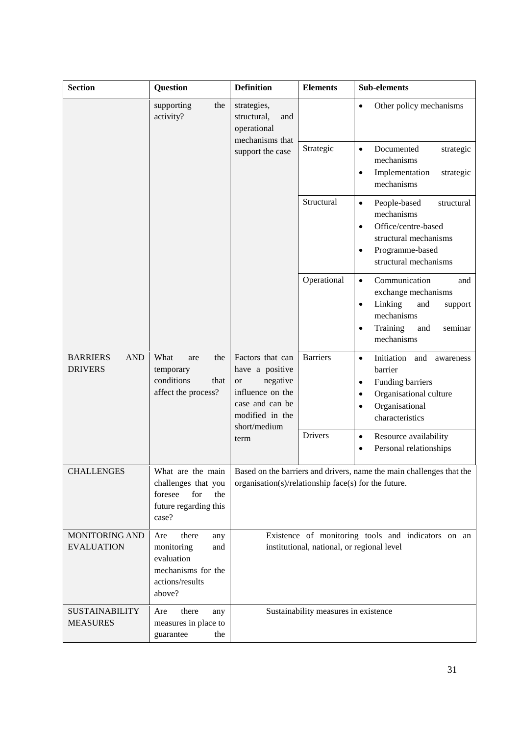| <b>Section</b>                                                                                                           | <b>Question</b>                                                                                           | <b>Definition</b>                                                                                                                      | <b>Elements</b> | <b>Sub-elements</b>                                                                                                                                                           |  |
|--------------------------------------------------------------------------------------------------------------------------|-----------------------------------------------------------------------------------------------------------|----------------------------------------------------------------------------------------------------------------------------------------|-----------------|-------------------------------------------------------------------------------------------------------------------------------------------------------------------------------|--|
| supporting<br>the<br>activity?                                                                                           |                                                                                                           | strategies,<br>structural,<br>and<br>operational<br>mechanisms that                                                                    |                 | Other policy mechanisms<br>$\bullet$                                                                                                                                          |  |
|                                                                                                                          |                                                                                                           | support the case                                                                                                                       | Strategic       | Documented<br>strategic<br>$\bullet$<br>mechanisms<br>Implementation<br>strategic<br>$\bullet$<br>mechanisms                                                                  |  |
|                                                                                                                          |                                                                                                           |                                                                                                                                        | Structural      | People-based<br>structural<br>$\bullet$<br>mechanisms<br>Office/centre-based<br>$\bullet$<br>structural mechanisms<br>Programme-based<br>$\bullet$<br>structural mechanisms   |  |
|                                                                                                                          |                                                                                                           |                                                                                                                                        | Operational     | Communication<br>and<br>$\bullet$<br>exchange mechanisms<br>Linking<br>and<br>support<br>$\bullet$<br>mechanisms<br>Training<br>and<br>seminar<br>$\bullet$<br>mechanisms     |  |
| <b>BARRIERS</b><br><b>AND</b><br><b>DRIVERS</b>                                                                          | the<br>What<br>are<br>temporary<br>conditions<br>that<br>affect the process?                              | Factors that can<br>have a positive<br>negative<br><b>or</b><br>influence on the<br>case and can be<br>modified in the<br>short/medium | <b>Barriers</b> | Initiation and<br>$\bullet$<br>awareness<br>barrier<br>Funding barriers<br>$\bullet$<br>Organisational culture<br>$\bullet$<br>Organisational<br>$\bullet$<br>characteristics |  |
|                                                                                                                          |                                                                                                           | term                                                                                                                                   | Drivers         | Resource availability<br>$\bullet$<br>Personal relationships<br>$\bullet$                                                                                                     |  |
| What are the main<br><b>CHALLENGES</b><br>challenges that you<br>for<br>foresee<br>the<br>future regarding this<br>case? |                                                                                                           | Based on the barriers and drivers, name the main challenges that the<br>organisation(s)/relationship face(s) for the future.           |                 |                                                                                                                                                                               |  |
| <b>MONITORING AND</b><br><b>EVALUATION</b>                                                                               | there<br>Are<br>any<br>monitoring<br>and<br>evaluation<br>mechanisms for the<br>actions/results<br>above? | Existence of monitoring tools and indicators on an<br>institutional, national, or regional level                                       |                 |                                                                                                                                                                               |  |
| <b>SUSTAINABILITY</b><br>there<br>Are<br>any<br><b>MEASURES</b><br>measures in place to<br>guarantee<br>the              |                                                                                                           | Sustainability measures in existence                                                                                                   |                 |                                                                                                                                                                               |  |